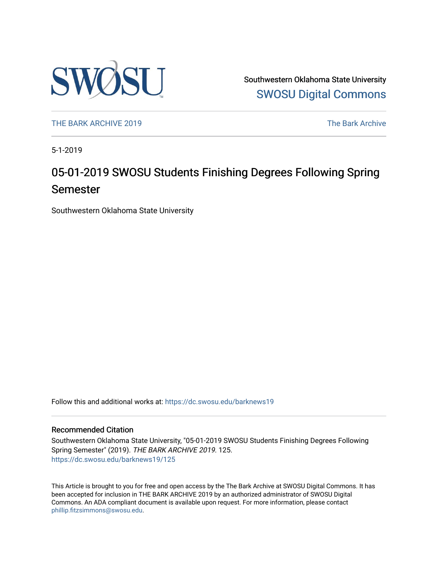

Southwestern Oklahoma State University [SWOSU Digital Commons](https://dc.swosu.edu/) 

[THE BARK ARCHIVE 2019](https://dc.swosu.edu/barknews19) The Bark Archive

5-1-2019

# 05-01-2019 SWOSU Students Finishing Degrees Following Spring Semester

Southwestern Oklahoma State University

Follow this and additional works at: [https://dc.swosu.edu/barknews19](https://dc.swosu.edu/barknews19?utm_source=dc.swosu.edu%2Fbarknews19%2F125&utm_medium=PDF&utm_campaign=PDFCoverPages)

#### Recommended Citation

Southwestern Oklahoma State University, "05-01-2019 SWOSU Students Finishing Degrees Following Spring Semester" (2019). THE BARK ARCHIVE 2019. 125. [https://dc.swosu.edu/barknews19/125](https://dc.swosu.edu/barknews19/125?utm_source=dc.swosu.edu%2Fbarknews19%2F125&utm_medium=PDF&utm_campaign=PDFCoverPages)

This Article is brought to you for free and open access by the The Bark Archive at SWOSU Digital Commons. It has been accepted for inclusion in THE BARK ARCHIVE 2019 by an authorized administrator of SWOSU Digital Commons. An ADA compliant document is available upon request. For more information, please contact [phillip.fitzsimmons@swosu.edu](mailto:phillip.fitzsimmons@swosu.edu).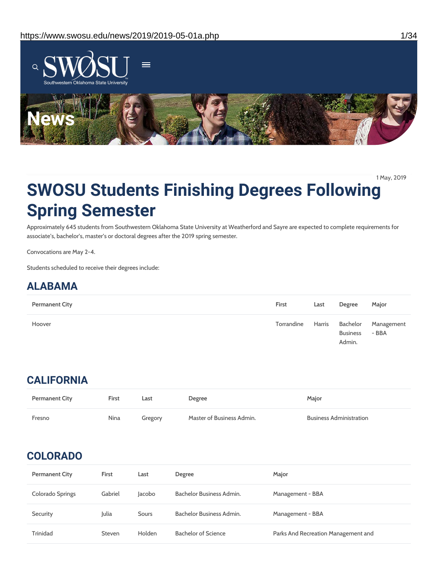

1 May, 2019

# **SWOSU Students Finishing Degrees Following Spring Semester**

Approximately 645 students from Southwestern Oklahoma State University at Weatherford and Sayre are expected to complete requirements for associate's, bachelor's, master's or doctoral degrees after the 2019 spring semester.

Convocations are May 2-4.

Students scheduled to receive their degrees include:

## **ALABAMA**

| <b>Permanent City</b> | First             | Last | Degree                    | Major                        |
|-----------------------|-------------------|------|---------------------------|------------------------------|
| Hoover                | Torrandine Harris |      | <b>Business</b><br>Admin. | Bachelor Management<br>- BBA |

## **CALIFORNIA**

| <b>Permanent City</b> | <b>First</b> | Last    | Degree                    | Major                          |
|-----------------------|--------------|---------|---------------------------|--------------------------------|
| Fresno                | <b>Nina</b>  | Gregory | Master of Business Admin. | <b>Business Administration</b> |

## **COLORADO**

| <b>Permanent City</b> | <b>First</b> | Last   | <b>Degree</b>              | Major                               |
|-----------------------|--------------|--------|----------------------------|-------------------------------------|
| Colorado Springs      | Gabriel      | Jacobo | Bachelor Business Admin.   | Management - BBA                    |
| Security              | Julia        | Sours  | Bachelor Business Admin.   | Management - BBA                    |
| Trinidad              | Steven       | Holden | <b>Bachelor of Science</b> | Parks And Recreation Management and |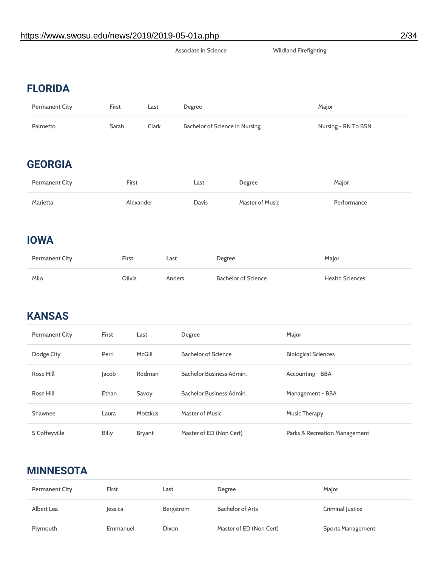#### Associate in Science Wildland Firefighting

## **FLORIDA**

| <b>Permanent City</b> | <b>First</b> | Last  | Degree                         | Major               |
|-----------------------|--------------|-------|--------------------------------|---------------------|
| Palmetto              | Sarah        | Clark | Bachelor of Science in Nursing | Nursing - RN To BSN |

## **GEORGIA**

| <b>Permanent City</b> | <b>First</b> | Last  | Degree          | Major       |
|-----------------------|--------------|-------|-----------------|-------------|
| Marietta              | Alexander    | Davis | Master of Music | Performance |

## **IOWA**

| <b>Permanent City</b> | First  | Last   | Degree              | Major                  |
|-----------------------|--------|--------|---------------------|------------------------|
| Milo                  | Olivia | Anders | Bachelor of Science | <b>Health Sciences</b> |

# **KANSAS**

| <b>Permanent City</b> | <b>First</b> | Last           | <b>Degree</b>              | Major                         |
|-----------------------|--------------|----------------|----------------------------|-------------------------------|
| Dodge City            | Perri        | McGill         | <b>Bachelor of Science</b> | <b>Biological Sciences</b>    |
| Rose Hill             | Jacob        | Rodman         | Bachelor Business Admin.   | Accounting - BBA              |
| Rose Hill             | <b>Ethan</b> | Savoy          | Bachelor Business Admin.   | Management - BBA              |
| Shawnee               | Laura        | <b>Motzkus</b> | Master of Music            | Music Therapy                 |
| S Coffeyville         | <b>Billy</b> | Bryant         | Master of ED (Non Cert)    | Parks & Recreation Management |

## **MINNESOTA**

| <b>Permanent City</b> | <b>First</b>   | Last      | Degree                  | Major                    |
|-----------------------|----------------|-----------|-------------------------|--------------------------|
| Albert Lea            | <b>lessica</b> | Bergstrom | Bachelor of Arts        | Criminal Justice         |
| Plymouth              | Emmanuel       | Dixon     | Master of ED (Non Cert) | <b>Sports Management</b> |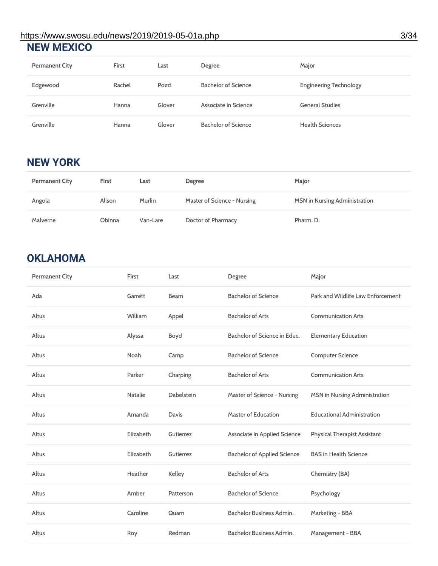#### **NEW MEXICO** https://www.swosu.edu/news/2019/2019-05-01a.php 3/34

| <b>Permanent City</b> | <b>First</b> | Last   | Degree                     | Major                         |
|-----------------------|--------------|--------|----------------------------|-------------------------------|
| Edgewood              | Rachel       | Pozzi  | <b>Bachelor of Science</b> | <b>Engineering Technology</b> |
| Grenville             | Hanna        | Glover | Associate in Science       | <b>General Studies</b>        |
| Grenville             | Hanna        | Glover | <b>Bachelor of Science</b> | <b>Health Sciences</b>        |

## **NEW YORK**

| <b>Permanent City</b> | First  | Last     | Degree                      | Major                                |
|-----------------------|--------|----------|-----------------------------|--------------------------------------|
| Angola                | Alison | Murlin   | Master of Science - Nursing | <b>MSN</b> in Nursing Administration |
| Malverne              | Obinna | Van-Lare | Doctor of Pharmacy          | Pharm. D.                            |

# **OKLAHOMA**

| <b>Permanent City</b> | First          | Last         | Degree                             | Major                             |
|-----------------------|----------------|--------------|------------------------------------|-----------------------------------|
| Ada                   | Garrett        | <b>Beam</b>  | <b>Bachelor of Science</b>         | Park and Wildlife Law Enforcement |
| Altus                 | William        | Appel        | <b>Bachelor of Arts</b>            | <b>Communication Arts</b>         |
| Altus                 | Alyssa         | Boyd         | Bachelor of Science in Educ.       | <b>Elementary Education</b>       |
| Altus                 | Noah           | Camp         | <b>Bachelor of Science</b>         | <b>Computer Science</b>           |
| Altus                 | Parker         | Charping     | <b>Bachelor of Arts</b>            | <b>Communication Arts</b>         |
| Altus                 | <b>Natalie</b> | Dabelstein   | Master of Science - Nursing        | MSN in Nursing Administration     |
| Altus                 | Amanda         | <b>Davis</b> | <b>Master of Education</b>         | <b>Educational Administration</b> |
| Altus                 | Elizabeth      | Gutierrez    | Associate in Applied Science       | Physical Therapist Assistant      |
| Altus                 | Elizabeth      | Gutierrez    | <b>Bachelor of Applied Science</b> | <b>BAS in Health Science</b>      |
| Altus                 | Heather        | Kelley       | <b>Bachelor of Arts</b>            | Chemistry (BA)                    |
| Altus                 | Amber          | Patterson    | <b>Bachelor of Science</b>         | Psychology                        |
| Altus                 | Caroline       | Quam         | <b>Bachelor Business Admin.</b>    | Marketing - BBA                   |
| Altus                 | Roy            | Redman       | Bachelor Business Admin.           | Management - BBA                  |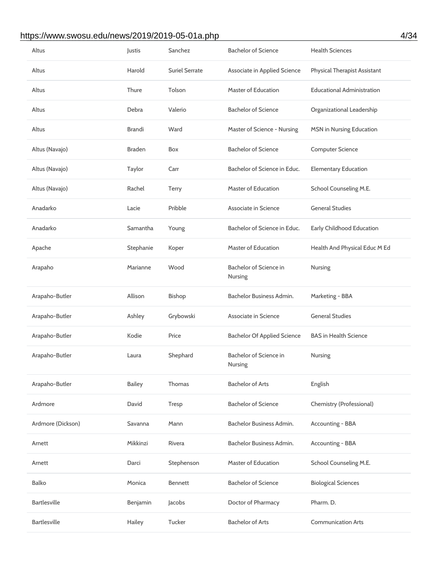#### https://www.swosu.edu/news/2019/2019-05-01a.php 4/34

| Altus               | Justis        | Sanchez               | <b>Bachelor of Science</b>         | <b>Health Sciences</b>              |
|---------------------|---------------|-----------------------|------------------------------------|-------------------------------------|
| Altus               | Harold        | <b>Suriel Serrate</b> | Associate in Applied Science       | <b>Physical Therapist Assistant</b> |
| Altus               | Thure         | Tolson                | <b>Master of Education</b>         | <b>Educational Administration</b>   |
| Altus               | Debra         | Valerio               | <b>Bachelor of Science</b>         | Organizational Leadership           |
| Altus               | Brandi        | Ward                  | Master of Science - Nursing        | <b>MSN in Nursing Education</b>     |
| Altus (Navajo)      | <b>Braden</b> | Box                   | <b>Bachelor of Science</b>         | <b>Computer Science</b>             |
| Altus (Navajo)      | Taylor        | Carr                  | Bachelor of Science in Educ.       | <b>Elementary Education</b>         |
| Altus (Navajo)      | Rachel        | <b>Terry</b>          | <b>Master of Education</b>         | School Counseling M.E.              |
| Anadarko            | Lacie         | Pribble               | Associate in Science               | <b>General Studies</b>              |
| Anadarko            | Samantha      | Young                 | Bachelor of Science in Educ.       | Early Childhood Education           |
| Apache              | Stephanie     | Koper                 | <b>Master of Education</b>         | Health And Physical Educ M Ed       |
| Arapaho             | Marianne      | Wood                  | Bachelor of Science in<br>Nursing  | Nursing                             |
| Arapaho-Butler      | Allison       | <b>Bishop</b>         | Bachelor Business Admin.           | Marketing - BBA                     |
| Arapaho-Butler      | Ashley        | Grybowski             | Associate in Science               | <b>General Studies</b>              |
|                     |               |                       |                                    |                                     |
| Arapaho-Butler      | Kodie         | Price                 | <b>Bachelor Of Applied Science</b> | <b>BAS</b> in Health Science        |
| Arapaho-Butler      | Laura         | Shephard              | Bachelor of Science in<br>Nursing  | Nursing                             |
| Arapaho-Butler      | <b>Bailey</b> | Thomas                | <b>Bachelor of Arts</b>            | English                             |
| Ardmore             | David         | Tresp                 | <b>Bachelor of Science</b>         | Chemistry (Professional)            |
| Ardmore (Dickson)   | Savanna       | Mann                  | Bachelor Business Admin.           | Accounting - BBA                    |
| Arnett              | Mikkinzi      | Rivera                | Bachelor Business Admin.           | Accounting - BBA                    |
| Arnett              | Darci         | Stephenson            | <b>Master of Education</b>         | School Counseling M.E.              |
| <b>Balko</b>        | Monica        | <b>Bennett</b>        | <b>Bachelor of Science</b>         | <b>Biological Sciences</b>          |
| <b>Bartlesville</b> | Benjamin      | Jacobs                | Doctor of Pharmacy                 | Pharm. D.                           |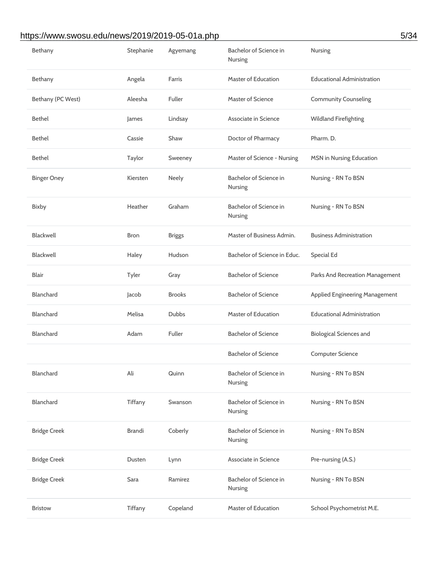## https://www.swosu.edu/news/2019/2019-05-01a.php 5/34

| Bethany             | Stephanie     | Agyemang      | Bachelor of Science in<br>Nursing | Nursing                               |
|---------------------|---------------|---------------|-----------------------------------|---------------------------------------|
| Bethany             | Angela        | Farris        | <b>Master of Education</b>        | <b>Educational Administration</b>     |
| Bethany (PC West)   | Aleesha       | Fuller        | <b>Master of Science</b>          | <b>Community Counseling</b>           |
| <b>Bethel</b>       | James         | Lindsay       | Associate in Science              | <b>Wildland Firefighting</b>          |
| <b>Bethel</b>       | Cassie        | Shaw          | Doctor of Pharmacy                | Pharm. D.                             |
| <b>Bethel</b>       | Taylor        | Sweeney       | Master of Science - Nursing       | <b>MSN</b> in Nursing Education       |
| <b>Binger Oney</b>  | Kiersten      | Neely         | Bachelor of Science in<br>Nursing | Nursing - RN To BSN                   |
| <b>Bixby</b>        | Heather       | Graham        | Bachelor of Science in<br>Nursing | Nursing - RN To BSN                   |
| <b>Blackwell</b>    | <b>Bron</b>   | <b>Briggs</b> | Master of Business Admin.         | <b>Business Administration</b>        |
| <b>Blackwell</b>    | Haley         | Hudson        | Bachelor of Science in Educ.      | <b>Special Ed</b>                     |
| <b>Blair</b>        | Tyler         | Gray          | <b>Bachelor of Science</b>        | Parks And Recreation Management       |
| <b>Blanchard</b>    | Jacob         | <b>Brooks</b> | <b>Bachelor of Science</b>        | <b>Applied Engineering Management</b> |
| <b>Blanchard</b>    | Melisa        | <b>Dubbs</b>  | <b>Master of Education</b>        | <b>Educational Administration</b>     |
| Blanchard           | Adam          | Fuller        | <b>Bachelor of Science</b>        | <b>Biological Sciences and</b>        |
|                     |               |               | <b>Bachelor of Science</b>        | <b>Computer Science</b>               |
| <b>Blanchard</b>    | Ali           | Quinn         | Bachelor of Science in<br>Nursing | Nursing - RN To BSN                   |
| <b>Blanchard</b>    | Tiffany       | Swanson       | Bachelor of Science in<br>Nursing | Nursing - RN To BSN                   |
| <b>Bridge Creek</b> | <b>Brandi</b> | Coberly       | Bachelor of Science in<br>Nursing | Nursing - RN To BSN                   |
| <b>Bridge Creek</b> | Dusten        | Lynn          | Associate in Science              | Pre-nursing (A.S.)                    |
| <b>Bridge Creek</b> | Sara          | Ramirez       | Bachelor of Science in<br>Nursing | Nursing - RN To BSN                   |
| <b>Bristow</b>      | Tiffany       | Copeland      | <b>Master of Education</b>        | School Psychometrist M.E.             |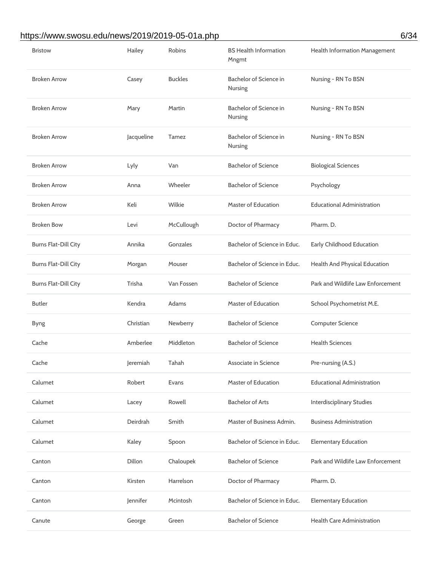## https://www.swosu.edu/news/2019/2019-05-01a.php 6/34

| <b>Bristow</b>              | Hailey     | Robins         | <b>BS Health Information</b><br>Mngmt | Health Information Management     |
|-----------------------------|------------|----------------|---------------------------------------|-----------------------------------|
| <b>Broken Arrow</b>         | Casey      | <b>Buckles</b> | Bachelor of Science in<br>Nursing     | Nursing - RN To BSN               |
| <b>Broken Arrow</b>         | Mary       | Martin         | Bachelor of Science in<br>Nursing     | Nursing - RN To BSN               |
| <b>Broken Arrow</b>         | Jacqueline | Tamez          | Bachelor of Science in<br>Nursing     | Nursing - RN To BSN               |
| <b>Broken Arrow</b>         | Lyly       | Van            | <b>Bachelor of Science</b>            | <b>Biological Sciences</b>        |
| <b>Broken Arrow</b>         | Anna       | Wheeler        | <b>Bachelor of Science</b>            | Psychology                        |
| <b>Broken Arrow</b>         | Keli       | Wilkie         | <b>Master of Education</b>            | <b>Educational Administration</b> |
| <b>Broken Bow</b>           | Levi       | McCullough     | Doctor of Pharmacy                    | Pharm. D.                         |
| <b>Burns Flat-Dill City</b> | Annika     | Gonzales       | Bachelor of Science in Educ.          | Early Childhood Education         |
| <b>Burns Flat-Dill City</b> | Morgan     | Mouser         | Bachelor of Science in Educ.          | Health And Physical Education     |
| <b>Burns Flat-Dill City</b> | Trisha     | Van Fossen     | <b>Bachelor of Science</b>            | Park and Wildlife Law Enforcement |
| <b>Butler</b>               | Kendra     | Adams          | <b>Master of Education</b>            | School Psychometrist M.E.         |
| <b>Byng</b>                 | Christian  | Newberry       | <b>Bachelor of Science</b>            | <b>Computer Science</b>           |
| Cache                       | Amberlee   | Middleton      | <b>Bachelor of Science</b>            | <b>Health Sciences</b>            |
| Cache                       | Jeremiah   | Tahah          | Associate in Science                  | Pre-nursing (A.S.)                |
| Calumet                     | Robert     | Evans          | <b>Master of Education</b>            | <b>Educational Administration</b> |
| Calumet                     | Lacey      | Rowell         | <b>Bachelor of Arts</b>               | <b>Interdisciplinary Studies</b>  |
| Calumet                     | Deirdrah   | Smith          | Master of Business Admin.             | <b>Business Administration</b>    |
| Calumet                     | Kaley      | Spoon          | Bachelor of Science in Educ.          | <b>Elementary Education</b>       |
| Canton                      | Dillon     | Chaloupek      | <b>Bachelor of Science</b>            | Park and Wildlife Law Enforcement |
| Canton                      | Kirsten    | Harrelson      | Doctor of Pharmacy                    | Pharm. D.                         |
| Canton                      | Jennifer   | Mcintosh       | Bachelor of Science in Educ.          | <b>Elementary Education</b>       |
| Canute                      | George     | Green          | <b>Bachelor of Science</b>            | <b>Health Care Administration</b> |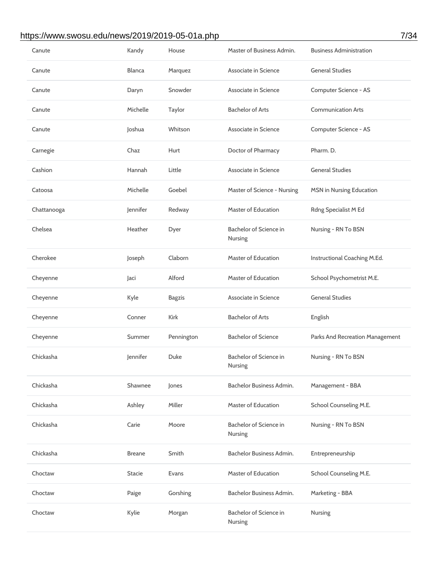## https://www.swosu.edu/news/2019/2019-05-01a.php 7/34

| Canute      | Kandy         | House         | Master of Business Admin.         | <b>Business Administration</b>  |
|-------------|---------------|---------------|-----------------------------------|---------------------------------|
| Canute      | <b>Blanca</b> | Marquez       | Associate in Science              | <b>General Studies</b>          |
| Canute      | Daryn         | Snowder       | Associate in Science              | Computer Science - AS           |
| Canute      | Michelle      | Taylor        | <b>Bachelor of Arts</b>           | <b>Communication Arts</b>       |
| Canute      | Joshua        | Whitson       | Associate in Science              | Computer Science - AS           |
| Carnegie    | Chaz          | Hurt          | Doctor of Pharmacy                | Pharm. D.                       |
| Cashion     | Hannah        | Little        | Associate in Science              | <b>General Studies</b>          |
| Catoosa     | Michelle      | Goebel        | Master of Science - Nursing       | <b>MSN</b> in Nursing Education |
| Chattanooga | Jennifer      | Redway        | <b>Master of Education</b>        | Rdng Specialist M Ed            |
| Chelsea     | Heather       | Dyer          | Bachelor of Science in<br>Nursing | Nursing - RN To BSN             |
| Cherokee    | Joseph        | Claborn       | <b>Master of Education</b>        | Instructional Coaching M.Ed.    |
| Cheyenne    | Jaci          | Alford        | <b>Master of Education</b>        | School Psychometrist M.E.       |
| Cheyenne    | Kyle          | <b>Bagzis</b> | Associate in Science              | <b>General Studies</b>          |
| Cheyenne    | Conner        | Kirk          | <b>Bachelor of Arts</b>           | English                         |
| Cheyenne    | Summer        | Pennington    | <b>Bachelor of Science</b>        | Parks And Recreation Management |
| Chickasha   | Jennifer      | <b>Duke</b>   | Bachelor of Science in<br>Nursing | Nursing - RN To BSN             |
| Chickasha   | Shawnee       | Jones         | Bachelor Business Admin.          | Management - BBA                |
| Chickasha   | Ashley        | Miller        | <b>Master of Education</b>        | School Counseling M.E.          |
| Chickasha   | Carie         | Moore         | Bachelor of Science in<br>Nursing | Nursing - RN To BSN             |
| Chickasha   | <b>Breane</b> | Smith         | Bachelor Business Admin.          | Entrepreneurship                |
| Choctaw     | <b>Stacie</b> | Evans         | <b>Master of Education</b>        | School Counseling M.E.          |
| Choctaw     | Paige         | Gorshing      | Bachelor Business Admin.          | Marketing - BBA                 |
| Choctaw     | Kylie         | Morgan        | Bachelor of Science in<br>Nursing | Nursing                         |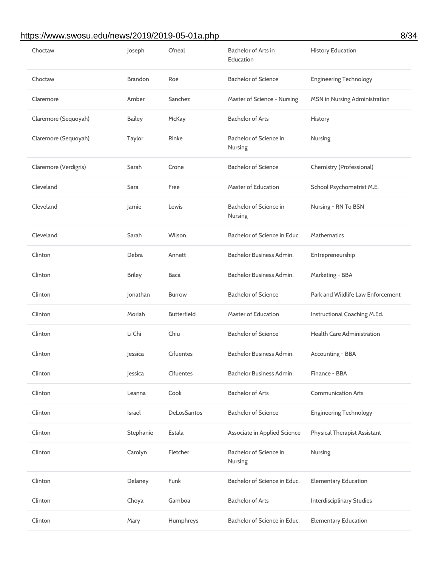## https://www.swosu.edu/news/2019/2019-05-01a.php 8/34

| Choctaw               | Joseph         | O'neal             | <b>Bachelor of Arts in</b><br>Education  | <b>History Education</b>          |
|-----------------------|----------------|--------------------|------------------------------------------|-----------------------------------|
| Choctaw               | <b>Brandon</b> | Roe                | <b>Bachelor of Science</b>               | <b>Engineering Technology</b>     |
| Claremore             | Amber          | Sanchez            | Master of Science - Nursing              | MSN in Nursing Administration     |
| Claremore (Sequoyah)  | <b>Bailey</b>  | McKay              | <b>Bachelor of Arts</b>                  | History                           |
| Claremore (Sequoyah)  | Taylor         | Rinke              | Bachelor of Science in<br><b>Nursing</b> | <b>Nursing</b>                    |
| Claremore (Verdigris) | Sarah          | Crone              | <b>Bachelor of Science</b>               | Chemistry (Professional)          |
| Cleveland             | Sara           | Free               | <b>Master of Education</b>               | School Psychometrist M.E.         |
| Cleveland             | Jamie          | Lewis              | Bachelor of Science in<br><b>Nursing</b> | Nursing - RN To BSN               |
| Cleveland             | Sarah          | Wilson             | Bachelor of Science in Educ.             | <b>Mathematics</b>                |
| Clinton               | <b>Debra</b>   | Annett             | Bachelor Business Admin.                 | Entrepreneurship                  |
| Clinton               | <b>Briley</b>  | Baca               | Bachelor Business Admin.                 | Marketing - BBA                   |
| Clinton               | Jonathan       | <b>Burrow</b>      | <b>Bachelor of Science</b>               | Park and Wildlife Law Enforcement |
| Clinton               | Moriah         | <b>Butterfield</b> | Master of Education                      | Instructional Coaching M.Ed.      |
| Clinton               | Li Chi         | Chiu               | <b>Bachelor of Science</b>               | <b>Health Care Administration</b> |
| Clinton               | Jessica        | Cifuentes          | Bachelor Business Admin.                 | Accounting - BBA                  |
| Clinton               | Jessica        | Cifuentes          | Bachelor Business Admin.                 | Finance - BBA                     |
| Clinton               | Leanna         | Cook               | <b>Bachelor of Arts</b>                  | <b>Communication Arts</b>         |
| Clinton               |                |                    |                                          |                                   |
|                       | Israel         | <b>DeLosSantos</b> | <b>Bachelor of Science</b>               | <b>Engineering Technology</b>     |
| Clinton               | Stephanie      | Estala             | Associate in Applied Science             | Physical Therapist Assistant      |
| Clinton               | Carolyn        | Fletcher           | Bachelor of Science in<br>Nursing        | <b>Nursing</b>                    |
| Clinton               | Delaney        | Funk               | Bachelor of Science in Educ.             | <b>Elementary Education</b>       |
| Clinton               | Choya          | Gamboa             | <b>Bachelor of Arts</b>                  | <b>Interdisciplinary Studies</b>  |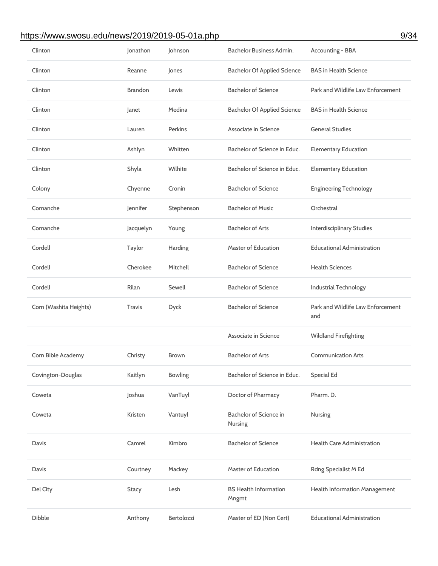## https://www.swosu.edu/news/2019/2019-05-01a.php 9/34

| Clinton                | Jonathon       | Johnson        | Bachelor Business Admin.              | Accounting - BBA                         |
|------------------------|----------------|----------------|---------------------------------------|------------------------------------------|
| Clinton                | Reanne         | Jones          | <b>Bachelor Of Applied Science</b>    | <b>BAS in Health Science</b>             |
| Clinton                | <b>Brandon</b> | Lewis          | <b>Bachelor of Science</b>            | Park and Wildlife Law Enforcement        |
| Clinton                | Janet          | Medina         | <b>Bachelor Of Applied Science</b>    | <b>BAS in Health Science</b>             |
| Clinton                | Lauren         | <b>Perkins</b> | Associate in Science                  | <b>General Studies</b>                   |
| Clinton                | Ashlyn         | Whitten        | Bachelor of Science in Educ.          | <b>Elementary Education</b>              |
| Clinton                | Shyla          | Wilhite        | Bachelor of Science in Educ.          | <b>Elementary Education</b>              |
| Colony                 | Chyenne        | Cronin         | <b>Bachelor of Science</b>            | <b>Engineering Technology</b>            |
| Comanche               | Jennifer       | Stephenson     | <b>Bachelor of Music</b>              | Orchestral                               |
| Comanche               | Jacquelyn      | Young          | <b>Bachelor of Arts</b>               | <b>Interdisciplinary Studies</b>         |
| Cordell                | Taylor         | Harding        | Master of Education                   | <b>Educational Administration</b>        |
| Cordell                | Cherokee       | Mitchell       | <b>Bachelor of Science</b>            | <b>Health Sciences</b>                   |
| Cordell                | Rilan          | Sewell         | <b>Bachelor of Science</b>            | <b>Industrial Technology</b>             |
| Corn (Washita Heights) | <b>Travis</b>  | <b>Dyck</b>    | <b>Bachelor of Science</b>            | Park and Wildlife Law Enforcement<br>and |
|                        |                |                | Associate in Science                  | <b>Wildland Firefighting</b>             |
| Corn Bible Academy     | Christy        | <b>Brown</b>   | <b>Bachelor of Arts</b>               | <b>Communication Arts</b>                |
| Covington-Douglas      | Kaitlyn        | <b>Bowling</b> | Bachelor of Science in Educ.          | <b>Special Ed</b>                        |
| Coweta                 | Joshua         | VanTuyl        | Doctor of Pharmacy                    | Pharm. D.                                |
| Coweta                 | Kristen        | Vantuyl        | Bachelor of Science in<br>Nursing     | Nursing                                  |
| Davis                  | Camrel         | Kimbro         | <b>Bachelor of Science</b>            | <b>Health Care Administration</b>        |
| Davis                  | Courtney       | Mackey         | Master of Education                   | Rdng Specialist M Ed                     |
| Del City               | <b>Stacy</b>   | Lesh           | <b>BS Health Information</b><br>Mngmt | Health Information Management            |
| Dibble                 | Anthony        | Bertolozzi     | Master of ED (Non Cert)               | <b>Educational Administration</b>        |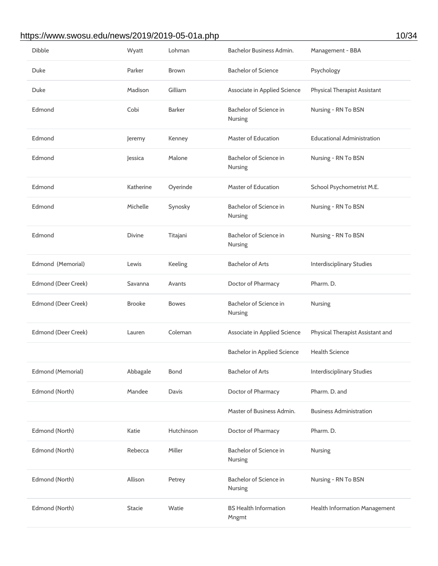## https://www.swosu.edu/news/2019/2019-05-01a.php 10/34

| <b>Dibble</b>       | Wyatt         | Lohman        | Bachelor Business Admin.                 | Management - BBA                    |
|---------------------|---------------|---------------|------------------------------------------|-------------------------------------|
| Duke                | Parker        | <b>Brown</b>  | <b>Bachelor of Science</b>               | Psychology                          |
| Duke                | Madison       | Gilliam       | Associate in Applied Science             | <b>Physical Therapist Assistant</b> |
| Edmond              | Cobi          | <b>Barker</b> | Bachelor of Science in<br>Nursing        | Nursing - RN To BSN                 |
| Edmond              | Jeremy        | Kenney        | <b>Master of Education</b>               | <b>Educational Administration</b>   |
| Edmond              | Jessica       | Malone        | Bachelor of Science in<br>Nursing        | Nursing - RN To BSN                 |
| Edmond              | Katherine     | Oyerinde      | <b>Master of Education</b>               | School Psychometrist M.E.           |
| Edmond              | Michelle      | Synosky       | Bachelor of Science in<br><b>Nursing</b> | Nursing - RN To BSN                 |
| Edmond              | <b>Divine</b> | Titajani      | Bachelor of Science in<br>Nursing        | Nursing - RN To BSN                 |
| Edmond (Memorial)   | Lewis         | Keeling       | <b>Bachelor of Arts</b>                  | <b>Interdisciplinary Studies</b>    |
| Edmond (Deer Creek) | Savanna       | Avants        | Doctor of Pharmacy                       | Pharm. D.                           |
| Edmond (Deer Creek) | <b>Brooke</b> | <b>Bowes</b>  | Bachelor of Science in<br>Nursing        | Nursing                             |
| Edmond (Deer Creek) | Lauren        | Coleman       | Associate in Applied Science             | Physical Therapist Assistant and    |
|                     |               |               | <b>Bachelor in Applied Science</b>       | <b>Health Science</b>               |
| Edmond (Memorial)   | Abbagale      | <b>Bond</b>   | <b>Bachelor of Arts</b>                  | <b>Interdisciplinary Studies</b>    |
| Edmond (North)      | Mandee        | Davis         | Doctor of Pharmacy                       | Pharm. D. and                       |
|                     |               |               | Master of Business Admin.                | <b>Business Administration</b>      |
| Edmond (North)      | Katie         | Hutchinson    | Doctor of Pharmacy                       | Pharm. D.                           |
| Edmond (North)      | Rebecca       | Miller        | Bachelor of Science in<br>Nursing        | Nursing                             |
| Edmond (North)      | Allison       | Petrey        | Bachelor of Science in<br>Nursing        | Nursing - RN To BSN                 |
| Edmond (North)      | <b>Stacie</b> | Watie         | <b>BS Health Information</b><br>Mngmt    | Health Information Management       |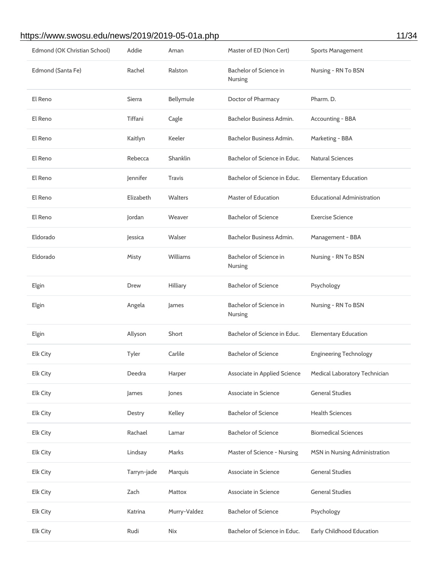#### https://www.swosu.edu/news/2019/2019-05-01a.php 11/34

| Edmond (OK Christian School) | Addie       | Aman           | Master of ED (Non Cert)             | <b>Sports Management</b>          |
|------------------------------|-------------|----------------|-------------------------------------|-----------------------------------|
| Edmond (Santa Fe)            | Rachel      | Ralston        | Bachelor of Science in<br>Nursing   | Nursing - RN To BSN               |
| El Reno                      | Sierra      | Bellymule      | Doctor of Pharmacy                  | Pharm. D.                         |
| El Reno                      | Tiffani     | Cagle          | Bachelor Business Admin.            | Accounting - BBA                  |
| El Reno                      | Kaitlyn     | Keeler         | Bachelor Business Admin.            | Marketing - BBA                   |
| El Reno                      | Rebecca     | Shanklin       | Bachelor of Science in Educ.        | <b>Natural Sciences</b>           |
| El Reno                      | Jennifer    | <b>Travis</b>  | Bachelor of Science in Educ.        | <b>Elementary Education</b>       |
| El Reno                      | Elizabeth   | <b>Walters</b> | Master of Education                 | <b>Educational Administration</b> |
| El Reno                      | Jordan      | Weaver         | <b>Bachelor of Science</b>          | <b>Exercise Science</b>           |
| Eldorado                     | Jessica     | Walser         | Bachelor Business Admin.            | Management - BBA                  |
| Eldorado                     | Misty       | Williams       | Bachelor of Science in<br>Nursing   | Nursing - RN To BSN               |
| Elgin                        | Drew        | Hilliary       | <b>Bachelor of Science</b>          | Psychology                        |
| Elgin                        | Angela      | James          | Bachelor of Science in<br>Nursing   | Nursing - RN To BSN               |
| Elgin                        | Allyson     | Short          | Bachelor of Science in Educ.        | <b>Elementary Education</b>       |
| Elk City                     | Tyler       | Carlile        | <b>Bachelor of Science</b>          | <b>Engineering Technology</b>     |
| Elk City                     | Deedra      | Harper         | <b>Associate in Applied Science</b> | Medical Laboratory Technician     |
| <b>Elk City</b>              | James       | Jones          | Associate in Science                | <b>General Studies</b>            |
| <b>Elk City</b>              | Destry      | Kelley         | <b>Bachelor of Science</b>          | <b>Health Sciences</b>            |
| <b>Elk City</b>              | Rachael     | Lamar          | <b>Bachelor of Science</b>          | <b>Biomedical Sciences</b>        |
| Elk City                     | Lindsay     | Marks          | Master of Science - Nursing         | MSN in Nursing Administration     |
| <b>Elk City</b>              | Tarryn-jade | Marquis        | Associate in Science                | <b>General Studies</b>            |
| <b>Elk City</b>              | Zach        | Mattox         | Associate in Science                | <b>General Studies</b>            |
| Elk City                     | Katrina     | Murry-Valdez   | <b>Bachelor of Science</b>          | Psychology                        |
| Elk City                     | Rudi        | <b>Nix</b>     | Bachelor of Science in Educ.        | Early Childhood Education         |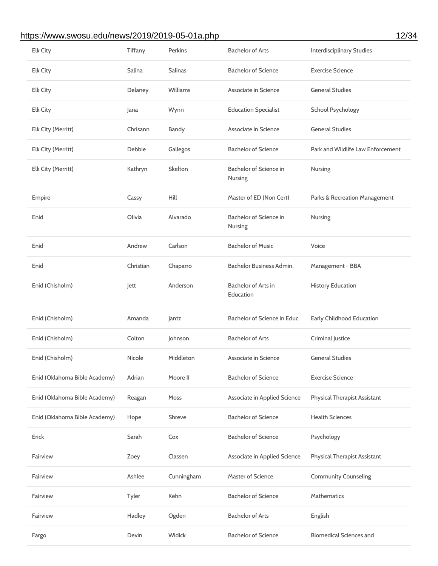# https://www.swosu.edu/news/2019/2019-05-01a.php 12/34

| Elk City                      | Tiffany   | Perkins        | <b>Bachelor of Arts</b>                 | <b>Interdisciplinary Studies</b>    |
|-------------------------------|-----------|----------------|-----------------------------------------|-------------------------------------|
| Elk City                      | Salina    | <b>Salinas</b> | <b>Bachelor of Science</b>              | <b>Exercise Science</b>             |
| <b>Elk City</b>               | Delaney   | Williams       | Associate in Science                    | <b>General Studies</b>              |
| <b>Elk City</b>               | Jana      | Wynn           | <b>Education Specialist</b>             | <b>School Psychology</b>            |
| Elk City (Merritt)            | Chrisann  | Bandy          | Associate in Science                    | <b>General Studies</b>              |
| Elk City (Merritt)            | Debbie    | Gallegos       | <b>Bachelor of Science</b>              | Park and Wildlife Law Enforcement   |
| Elk City (Merritt)            | Kathryn   | Skelton        | Bachelor of Science in<br>Nursing       | Nursing                             |
| Empire                        | Cassy     | Hill           | Master of ED (Non Cert)                 | Parks & Recreation Management       |
| Enid                          | Olivia    | Alvarado       | Bachelor of Science in<br>Nursing       | Nursing                             |
| Enid                          | Andrew    | Carlson        | <b>Bachelor of Music</b>                | Voice                               |
| Enid                          | Christian | Chaparro       | Bachelor Business Admin.                | Management - BBA                    |
| Enid (Chisholm)               | lett      | Anderson       | <b>Bachelor of Arts in</b><br>Education | <b>History Education</b>            |
| Enid (Chisholm)               | Amanda    | Jantz          | Bachelor of Science in Educ.            | Early Childhood Education           |
| Enid (Chisholm)               | Colton    | Johnson        | <b>Bachelor of Arts</b>                 | <b>Criminal Justice</b>             |
| Enid (Chisholm)               | Nicole    | Middleton      | Associate in Science                    | <b>General Studies</b>              |
| Enid (Oklahoma Bible Academy) | Adrian    | Moore II       | <b>Bachelor of Science</b>              | <b>Exercise Science</b>             |
| Enid (Oklahoma Bible Academy) | Reagan    | Moss           | Associate in Applied Science            | <b>Physical Therapist Assistant</b> |
| Enid (Oklahoma Bible Academy) | Hope      | Shreve         | <b>Bachelor of Science</b>              | <b>Health Sciences</b>              |
| Erick                         | Sarah     | Cox            | <b>Bachelor of Science</b>              | Psychology                          |
| Fairview                      | Zoey      | Classen        | Associate in Applied Science            | Physical Therapist Assistant        |
| Fairview                      | Ashlee    | Cunningham     | <b>Master of Science</b>                | <b>Community Counseling</b>         |
| Fairview                      | Tyler     | Kehn           | <b>Bachelor of Science</b>              | <b>Mathematics</b>                  |
| Fairview                      | Hadley    | Ogden          | <b>Bachelor of Arts</b>                 | English                             |
| Fargo                         | Devin     | Widick         | <b>Bachelor of Science</b>              | <b>Biomedical Sciences and</b>      |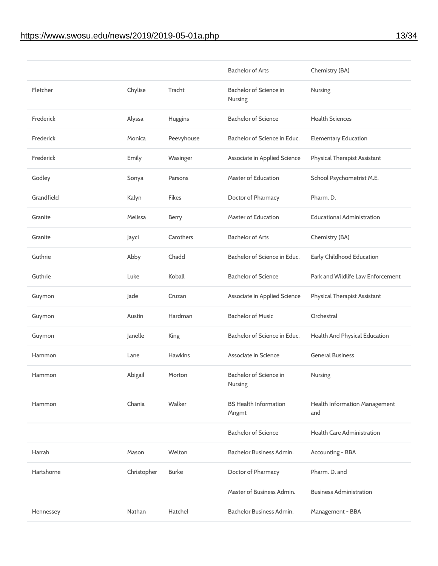|            |             |                | <b>Bachelor of Arts</b>               | Chemistry (BA)                       |
|------------|-------------|----------------|---------------------------------------|--------------------------------------|
| Fletcher   | Chylise     | Tracht         | Bachelor of Science in<br>Nursing     | Nursing                              |
| Frederick  | Alyssa      | Huggins        | <b>Bachelor of Science</b>            | <b>Health Sciences</b>               |
| Frederick  | Monica      | Peevyhouse     | Bachelor of Science in Educ.          | <b>Elementary Education</b>          |
| Frederick  | Emily       | Wasinger       | Associate in Applied Science          | <b>Physical Therapist Assistant</b>  |
| Godley     | Sonya       | Parsons        | <b>Master of Education</b>            | School Psychometrist M.E.            |
| Grandfield | Kalyn       | <b>Fikes</b>   | Doctor of Pharmacy                    | Pharm. D.                            |
| Granite    | Melissa     | <b>Berry</b>   | Master of Education                   | <b>Educational Administration</b>    |
| Granite    | Jayci       | Carothers      | <b>Bachelor of Arts</b>               | Chemistry (BA)                       |
| Guthrie    | Abby        | Chadd          | Bachelor of Science in Educ.          | <b>Early Childhood Education</b>     |
| Guthrie    | Luke        | Koball         | <b>Bachelor of Science</b>            | Park and Wildlife Law Enforcement    |
| Guymon     | Jade        | Cruzan         | <b>Associate in Applied Science</b>   | <b>Physical Therapist Assistant</b>  |
| Guymon     | Austin      | Hardman        | <b>Bachelor of Music</b>              | Orchestral                           |
| Guymon     | Janelle     | King           | Bachelor of Science in Educ.          | Health And Physical Education        |
| Hammon     | Lane        | <b>Hawkins</b> | Associate in Science                  | <b>General Business</b>              |
| Hammon     | Abigail     | Morton         | Bachelor of Science in<br>Nursing     | Nursing                              |
| Hammon     | Chania      | Walker         | <b>BS Health Information</b><br>Mngmt | Health Information Management<br>and |
|            |             |                | <b>Bachelor of Science</b>            | <b>Health Care Administration</b>    |
| Harrah     | Mason       | Welton         | Bachelor Business Admin.              | Accounting - BBA                     |
| Hartshorne | Christopher | <b>Burke</b>   | Doctor of Pharmacy                    | Pharm. D. and                        |
|            |             |                | Master of Business Admin.             | <b>Business Administration</b>       |
| Hennessey  | Nathan      | Hatchel        | Bachelor Business Admin.              | Management - BBA                     |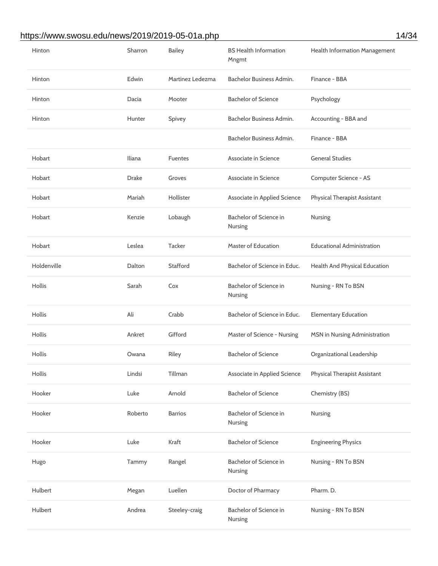## https://www.swosu.edu/news/2019/2019-05-01a.php 14/34

| Hinton        | Sharron      | <b>Bailey</b>    | <b>BS Health Information</b><br>Mngmt | Health Information Management       |
|---------------|--------------|------------------|---------------------------------------|-------------------------------------|
| Hinton        | Edwin        | Martinez Ledezma | Bachelor Business Admin.              | Finance - BBA                       |
| Hinton        | Dacia        | Mooter           | <b>Bachelor of Science</b>            | Psychology                          |
| Hinton        | Hunter       | Spivey           | Bachelor Business Admin.              | Accounting - BBA and                |
|               |              |                  | Bachelor Business Admin.              | Finance - BBA                       |
| Hobart        | Iliana       | <b>Fuentes</b>   | Associate in Science                  | <b>General Studies</b>              |
| Hobart        | <b>Drake</b> | Groves           | Associate in Science                  | Computer Science - AS               |
| Hobart        | Mariah       | Hollister        | <b>Associate in Applied Science</b>   | <b>Physical Therapist Assistant</b> |
| Hobart        | Kenzie       | Lobaugh          | Bachelor of Science in<br>Nursing     | <b>Nursing</b>                      |
| Hobart        | Leslea       | <b>Tacker</b>    | <b>Master of Education</b>            | <b>Educational Administration</b>   |
| Holdenville   | Dalton       | Stafford         | Bachelor of Science in Educ.          | Health And Physical Education       |
| <b>Hollis</b> | Sarah        | Cox              | Bachelor of Science in<br>Nursing     | Nursing - RN To BSN                 |
| <b>Hollis</b> | Ali          | Crabb            | Bachelor of Science in Educ.          | <b>Elementary Education</b>         |
| Hollis        | Ankret       | Gifford          | Master of Science - Nursing           | MSN in Nursing Administration       |
| <b>Hollis</b> | Owana        | Riley            | <b>Bachelor of Science</b>            | Organizational Leadership           |
| Hollis        | Lindsi       | Tillman          | <b>Associate in Applied Science</b>   | <b>Physical Therapist Assistant</b> |
| Hooker        | Luke         | Arnold           | <b>Bachelor of Science</b>            | Chemistry (BS)                      |
| Hooker        | Roberto      | <b>Barrios</b>   | Bachelor of Science in<br>Nursing     | Nursing                             |
| Hooker        | Luke         | Kraft            | <b>Bachelor of Science</b>            | <b>Engineering Physics</b>          |
| Hugo          | Tammy        | Rangel           | Bachelor of Science in<br>Nursing     | Nursing - RN To BSN                 |
| Hulbert       | Megan        | Luellen          | Doctor of Pharmacy                    | Pharm. D.                           |
| Hulbert       | Andrea       | Steeley-craig    | Bachelor of Science in<br>Nursing     | Nursing - RN To BSN                 |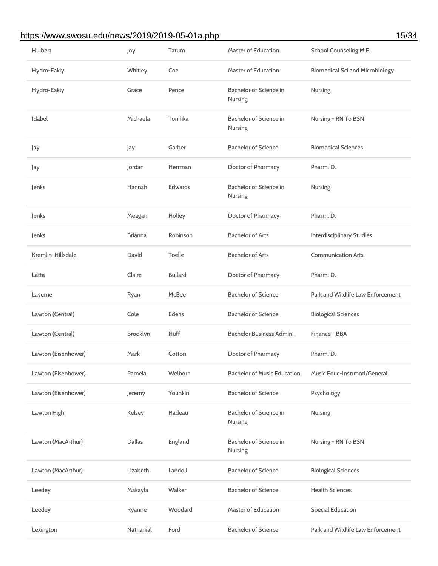## https://www.swosu.edu/news/2019/2019-05-01a.php 15/34

| Hulbert             | Joy            | Tatum          | <b>Master of Education</b>         | School Counseling M.E.                 |
|---------------------|----------------|----------------|------------------------------------|----------------------------------------|
| Hydro-Eakly         | Whitley        | Coe            | <b>Master of Education</b>         | <b>Biomedical Sci and Microbiology</b> |
| Hydro-Eakly         | Grace          | Pence          | Bachelor of Science in<br>Nursing  | Nursing                                |
| Idabel              | Michaela       | Tonihka        | Bachelor of Science in<br>Nursing  | Nursing - RN To BSN                    |
| Jay                 | Jay            | Garber         | <b>Bachelor of Science</b>         | <b>Biomedical Sciences</b>             |
| Jay                 | Jordan         | Herrman        | Doctor of Pharmacy                 | Pharm. D.                              |
| Jenks               | Hannah         | Edwards        | Bachelor of Science in<br>Nursing  | Nursing                                |
| Jenks               | Meagan         | Holley         | Doctor of Pharmacy                 | Pharm. D.                              |
| Jenks               | <b>Brianna</b> | Robinson       | <b>Bachelor of Arts</b>            | <b>Interdisciplinary Studies</b>       |
| Kremlin-Hillsdale   | David          | Toelle         | <b>Bachelor of Arts</b>            | <b>Communication Arts</b>              |
| Latta               | Claire         | <b>Bullard</b> | Doctor of Pharmacy                 | Pharm. D.                              |
| Laverne             | Ryan           | McBee          | <b>Bachelor of Science</b>         | Park and Wildlife Law Enforcement      |
| Lawton (Central)    | Cole           | Edens          | <b>Bachelor of Science</b>         | <b>Biological Sciences</b>             |
|                     |                |                |                                    |                                        |
| Lawton (Central)    | Brooklyn       | Huff           | Bachelor Business Admin.           | Finance - BBA                          |
| Lawton (Eisenhower) | Mark           | Cotton         | Doctor of Pharmacy                 | Pharm. D.                              |
| Lawton (Eisenhower) | Pamela         | Welborn        | <b>Bachelor of Music Education</b> | Music Educ-Instrmntl/General           |
| Lawton (Eisenhower) | Jeremy         | Younkin        | <b>Bachelor of Science</b>         | Psychology                             |
| Lawton High         | Kelsey         | Nadeau         | Bachelor of Science in<br>Nursing  | Nursing                                |
| Lawton (MacArthur)  | <b>Dallas</b>  | England        | Bachelor of Science in<br>Nursing  | Nursing - RN To BSN                    |
| Lawton (MacArthur)  | Lizabeth       | Landoll        | <b>Bachelor of Science</b>         | <b>Biological Sciences</b>             |
| Leedey              | Makayla        | Walker         | <b>Bachelor of Science</b>         | <b>Health Sciences</b>                 |
| Leedey              | Ryanne         | Woodard        | <b>Master of Education</b>         | <b>Special Education</b>               |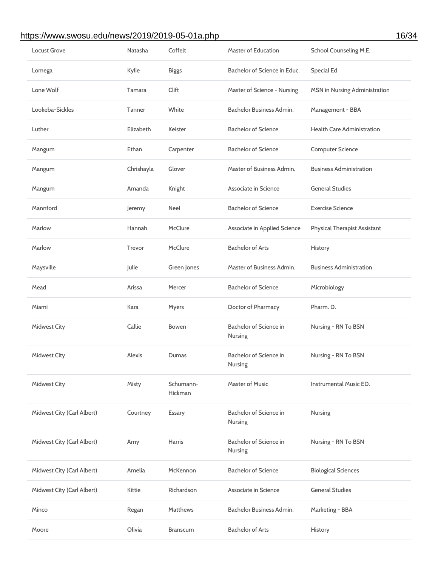## https://www.swosu.edu/news/2019/2019-05-01a.php 16/34

| <b>Locust Grove</b>        | Natasha    | Coffelt              | <b>Master of Education</b>          | School Counseling M.E.              |
|----------------------------|------------|----------------------|-------------------------------------|-------------------------------------|
| Lomega                     | Kylie      | <b>Biggs</b>         | Bachelor of Science in Educ.        | <b>Special Ed</b>                   |
| Lone Wolf                  | Tamara     | Clift                | Master of Science - Nursing         | MSN in Nursing Administration       |
| Lookeba-Sickles            | Tanner     | White                | Bachelor Business Admin.            | Management - BBA                    |
| Luther                     | Elizabeth  | Keister              | <b>Bachelor of Science</b>          | <b>Health Care Administration</b>   |
| Mangum                     | Ethan      | Carpenter            | <b>Bachelor of Science</b>          | <b>Computer Science</b>             |
| Mangum                     | Chrishayla | Glover               | Master of Business Admin.           | <b>Business Administration</b>      |
| Mangum                     | Amanda     | Knight               | Associate in Science                | <b>General Studies</b>              |
| Mannford                   | Jeremy     | Neel                 | <b>Bachelor of Science</b>          | <b>Exercise Science</b>             |
| Marlow                     | Hannah     | McClure              | <b>Associate in Applied Science</b> | <b>Physical Therapist Assistant</b> |
| Marlow                     | Trevor     | McClure              | <b>Bachelor of Arts</b>             | History                             |
| Maysville                  | Julie      | Green Jones          | Master of Business Admin.           | <b>Business Administration</b>      |
| Mead                       | Arissa     | Mercer               | <b>Bachelor of Science</b>          | Microbiology                        |
| Miami                      | Kara       | Myers                | Doctor of Pharmacy                  | Pharm. D.                           |
| <b>Midwest City</b>        | Callie     | <b>Bowen</b>         | Bachelor of Science in<br>Nursing   | Nursing - RN To BSN                 |
| <b>Midwest City</b>        | Alexis     | Dumas                | Bachelor of Science in<br>Nursing   | Nursing - RN To BSN                 |
| <b>Midwest City</b>        | Misty      | Schumann-<br>Hickman | <b>Master of Music</b>              | Instrumental Music ED.              |
| Midwest City (Carl Albert) | Courtney   | Essary               | Bachelor of Science in<br>Nursing   | <b>Nursing</b>                      |
| Midwest City (Carl Albert) | Amy        | Harris               | Bachelor of Science in<br>Nursing   | Nursing - RN To BSN                 |
| Midwest City (Carl Albert) | Amelia     | McKennon             | <b>Bachelor of Science</b>          | <b>Biological Sciences</b>          |
| Midwest City (Carl Albert) | Kittie     | Richardson           | Associate in Science                | <b>General Studies</b>              |
| Minco                      | Regan      | <b>Matthews</b>      | Bachelor Business Admin.            | Marketing - BBA                     |
| Moore                      | Olivia     | <b>Branscum</b>      | <b>Bachelor of Arts</b>             | History                             |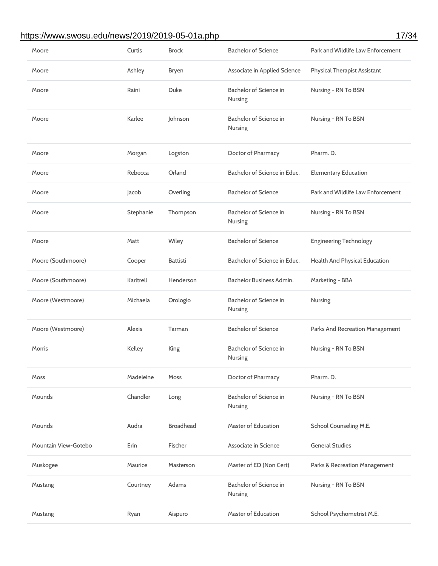## https://www.swosu.edu/news/2019/2019-05-01a.php 17/34

| Moore                | Curtis    | <b>Brock</b>     | <b>Bachelor of Science</b>               | Park and Wildlife Law Enforcement   |
|----------------------|-----------|------------------|------------------------------------------|-------------------------------------|
| Moore                | Ashley    | <b>Bryen</b>     | Associate in Applied Science             | <b>Physical Therapist Assistant</b> |
| Moore                | Raini     | Duke             | Bachelor of Science in<br>Nursing        | Nursing - RN To BSN                 |
| Moore                | Karlee    | Johnson          | Bachelor of Science in<br>Nursing        | Nursing - RN To BSN                 |
| Moore                | Morgan    | Logston          | Doctor of Pharmacy                       | Pharm. D.                           |
| Moore                | Rebecca   | Orland           | Bachelor of Science in Educ.             | <b>Elementary Education</b>         |
| Moore                | Jacob     | Overling         | <b>Bachelor of Science</b>               | Park and Wildlife Law Enforcement   |
| Moore                | Stephanie | Thompson         | Bachelor of Science in<br>Nursing        | Nursing - RN To BSN                 |
| Moore                | Matt      | Wiley            | <b>Bachelor of Science</b>               | <b>Engineering Technology</b>       |
| Moore (Southmoore)   | Cooper    | <b>Battisti</b>  | Bachelor of Science in Educ.             | Health And Physical Education       |
| Moore (Southmoore)   | Karltrell | Henderson        | Bachelor Business Admin.                 | Marketing - BBA                     |
| Moore (Westmoore)    | Michaela  | Orologio         | Bachelor of Science in<br>Nursing        | Nursing                             |
| Moore (Westmoore)    | Alexis    | Tarman           | <b>Bachelor of Science</b>               | Parks And Recreation Management     |
| Morris               | Kelley    | King             | Bachelor of Science in<br>Nursing        | Nursing - RN To BSN                 |
| Moss                 | Madeleine | Moss             | Doctor of Pharmacy                       | Pharm. D.                           |
| Mounds               | Chandler  | Long             | Bachelor of Science in<br><b>Nursing</b> | Nursing - RN To BSN                 |
| Mounds               | Audra     | <b>Broadhead</b> | <b>Master of Education</b>               | School Counseling M.E.              |
| Mountain View-Gotebo | Erin      | Fischer          | Associate in Science                     | <b>General Studies</b>              |
| Muskogee             | Maurice   | Masterson        | Master of ED (Non Cert)                  | Parks & Recreation Management       |
| Mustang              | Courtney  | Adams            | Bachelor of Science in<br><b>Nursing</b> | Nursing - RN To BSN                 |
| Mustang              | Ryan      | Aispuro          | <b>Master of Education</b>               | School Psychometrist M.E.           |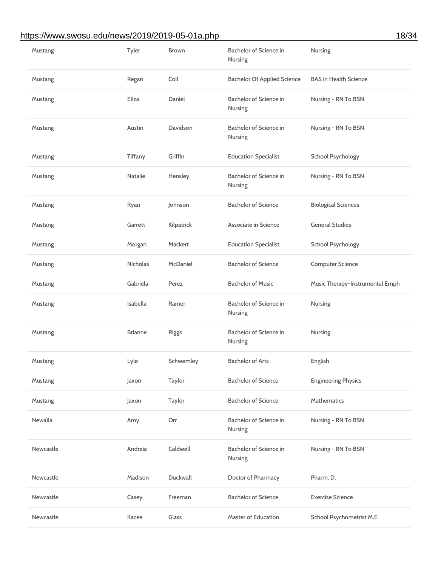# https://www.swosu.edu/news/2019/2019-05-01a.php 18/34

| Mustang   | Tyler           | <b>Brown</b> | Bachelor of Science in<br>Nursing  | Nursing                         |
|-----------|-----------------|--------------|------------------------------------|---------------------------------|
| Mustang   | Regan           | Coil         | <b>Bachelor Of Applied Science</b> | <b>BAS in Health Science</b>    |
| Mustang   | Eliza           | Daniel       | Bachelor of Science in<br>Nursing  | Nursing - RN To BSN             |
| Mustang   | Austin          | Davidson     | Bachelor of Science in<br>Nursing  | Nursing - RN To BSN             |
| Mustang   | Tiffany         | Griffin      | <b>Education Specialist</b>        | <b>School Psychology</b>        |
| Mustang   | <b>Natalie</b>  | Hensley      | Bachelor of Science in<br>Nursing  | Nursing - RN To BSN             |
| Mustang   | Ryan            | Johnson      | <b>Bachelor of Science</b>         | <b>Biological Sciences</b>      |
| Mustang   | Garrett         | Kilpatrick   | Associate in Science               | <b>General Studies</b>          |
| Mustang   | Morgan          | Mackert      | <b>Education Specialist</b>        | <b>School Psychology</b>        |
| Mustang   | <b>Nicholas</b> | McDaniel     | <b>Bachelor of Science</b>         | <b>Computer Science</b>         |
| Mustang   | Gabriela        | Perez        | <b>Bachelor of Music</b>           | Music Therapy-Instrumental Emph |
| Mustang   | Isabella        | Ramer        | Bachelor of Science in<br>Nursing  | Nursing                         |
| Mustang   | <b>Brianne</b>  | <b>Riggs</b> | Bachelor of Science in<br>Nursing  | Nursing                         |
| Mustang   | Lyle            | Schwemley    | <b>Bachelor of Arts</b>            | English                         |
| Mustang   | Jaxon           | Taylor       | <b>Bachelor of Science</b>         | <b>Engineering Physics</b>      |
| Mustang   | Jaxon           | Taylor       | <b>Bachelor of Science</b>         | Mathematics                     |
| Newalla   | Amy             | Orr          | Bachelor of Science in<br>Nursing  | Nursing - RN To BSN             |
| Newcastle | Andreia         | Caldwell     | Bachelor of Science in<br>Nursing  | Nursing - RN To BSN             |
| Newcastle | Madison         | Duckwall     | Doctor of Pharmacy                 | Pharm. D.                       |
| Newcastle | Casey           | Freeman      | <b>Bachelor of Science</b>         | <b>Exercise Science</b>         |
| Newcastle | Kacee           | Glass        | <b>Master of Education</b>         | School Psychometrist M.E.       |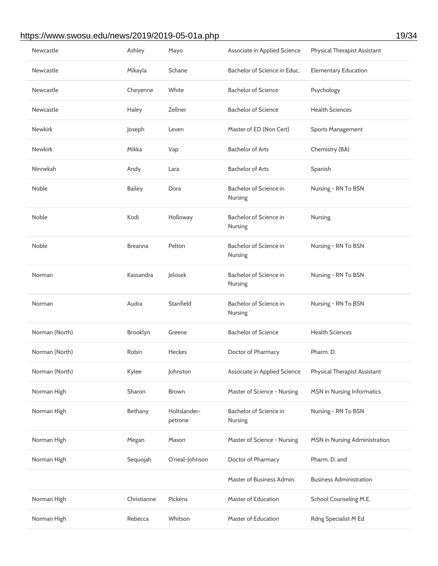# https://www.swosu.edu/news/2019/2019-05-01a.php 19/34

| Newcastle      | Ashley         | Mayo                    | <b>Associate in Applied Science</b>      | <b>Physical Therapist Assistant</b> |
|----------------|----------------|-------------------------|------------------------------------------|-------------------------------------|
| Newcastle      | Mikayla        | Schane                  | Bachelor of Science in Educ.             | <b>Elementary Education</b>         |
| Newcastle      | Cheyenne       | White                   | <b>Bachelor of Science</b>               | Psychology                          |
| Newcastle      | Haley          | Zellner                 | <b>Bachelor of Science</b>               | <b>Health Sciences</b>              |
| <b>Newkirk</b> | Joseph         | Leven                   | Master of ED (Non Cert)                  | <b>Sports Management</b>            |
| <b>Newkirk</b> | Mikka          | Vap                     | <b>Bachelor of Arts</b>                  | Chemistry (BA)                      |
| Ninnekah       | Andy           | Lara                    | <b>Bachelor of Arts</b>                  | Spanish                             |
| Noble          | <b>Bailey</b>  | Dora                    | Bachelor of Science in<br>Nursing        | Nursing - RN To BSN                 |
| Noble          | Kodi           | Holloway                | Bachelor of Science in<br><b>Nursing</b> | Nursing                             |
| Noble          | <b>Breanna</b> | Pelton                  | Bachelor of Science in<br>Nursing        | Nursing - RN To BSN                 |
| Norman         | Kassandra      | Jelosek                 | Bachelor of Science in<br>Nursing        | Nursing - RN To BSN                 |
| Norman         | Audra          | Stanfield               | Bachelor of Science in<br>Nursing        | Nursing - RN To BSN                 |
| Norman (North) | Brooklyn       | Greene                  | <b>Bachelor of Science</b>               | <b>Health Sciences</b>              |
| Norman (North) | <b>Robin</b>   | Heckes                  | Doctor of Pharmacy                       | Pharm. D.                           |
| Norman (North) | Kylee          | Johnston                | <b>Associate in Applied Science</b>      | <b>Physical Therapist Assistant</b> |
| Norman High    | Sharon         | Brown                   | Master of Science - Nursing              | <b>MSN</b> in Nursing Informatics   |
| Norman High    | Bethany        | Holtslander-<br>petrone | Bachelor of Science in<br>Nursing        | Nursing - RN To BSN                 |
| Norman High    | Megan          | Mason                   | Master of Science - Nursing              | MSN in Nursing Administration       |
| Norman High    | Sequojah       | O'neal-Johnson          | Doctor of Pharmacy                       | Pharm. D. and                       |
|                |                |                         | Master of Business Admin.                | <b>Business Administration</b>      |
| Norman High    | Christianne    | Pickens                 | <b>Master of Education</b>               | School Counseling M.E.              |
| Norman High    | Rebecca        | Whitson                 | <b>Master of Education</b>               | Rdng Specialist M Ed                |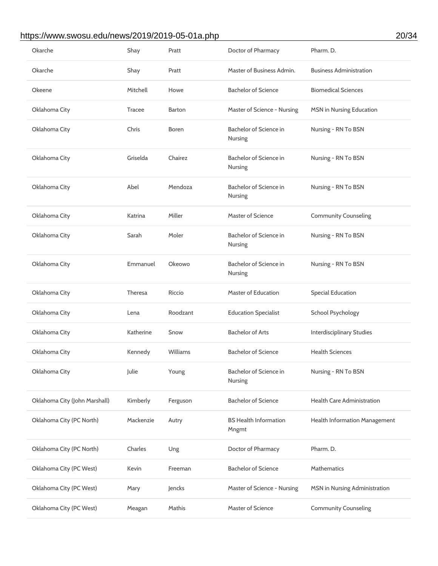## https://www.swosu.edu/news/2019/2019-05-01a.php 20/34

| Okarche                       | Shay          | Pratt         | Doctor of Pharmacy                    | Pharm. D.                         |
|-------------------------------|---------------|---------------|---------------------------------------|-----------------------------------|
| Okarche                       | Shay          | Pratt         | Master of Business Admin.             | <b>Business Administration</b>    |
| Okeene                        | Mitchell      | Howe          | <b>Bachelor of Science</b>            | <b>Biomedical Sciences</b>        |
| Oklahoma City                 | <b>Tracee</b> | <b>Barton</b> | Master of Science - Nursing           | <b>MSN</b> in Nursing Education   |
| Oklahoma City                 | Chris         | <b>Boren</b>  | Bachelor of Science in<br>Nursing     | Nursing - RN To BSN               |
| Oklahoma City                 | Griselda      | Chairez       | Bachelor of Science in<br>Nursing     | Nursing - RN To BSN               |
| Oklahoma City                 | Abel          | Mendoza       | Bachelor of Science in<br>Nursing     | Nursing - RN To BSN               |
| Oklahoma City                 | Katrina       | Miller        | Master of Science                     | <b>Community Counseling</b>       |
| Oklahoma City                 | Sarah         | Moler         | Bachelor of Science in<br>Nursing     | Nursing - RN To BSN               |
| Oklahoma City                 | Emmanuel      | Okeowo        | Bachelor of Science in<br>Nursing     | Nursing - RN To BSN               |
| Oklahoma City                 | Theresa       | Riccio        | <b>Master of Education</b>            | <b>Special Education</b>          |
| Oklahoma City                 | Lena          | Roodzant      | <b>Education Specialist</b>           | School Psychology                 |
| Oklahoma City                 | Katherine     | Snow          | <b>Bachelor of Arts</b>               | <b>Interdisciplinary Studies</b>  |
| Oklahoma City                 | Kennedy       | Williams      | <b>Bachelor of Science</b>            | <b>Health Sciences</b>            |
| Oklahoma City                 | Julie         | Young         | Bachelor of Science in<br>Nursing     | Nursing - RN To BSN               |
| Oklahoma City (John Marshall) | Kimberly      | Ferguson      | <b>Bachelor of Science</b>            | <b>Health Care Administration</b> |
| Oklahoma City (PC North)      |               |               |                                       |                                   |
|                               | Mackenzie     | Autry         | <b>BS Health Information</b><br>Mngmt | Health Information Management     |
| Oklahoma City (PC North)      | Charles       | Ung           | Doctor of Pharmacy                    | Pharm. D.                         |
| Oklahoma City (PC West)       | Kevin         | Freeman       | <b>Bachelor of Science</b>            | <b>Mathematics</b>                |
| Oklahoma City (PC West)       | Mary          | Jencks        | Master of Science - Nursing           | MSN in Nursing Administration     |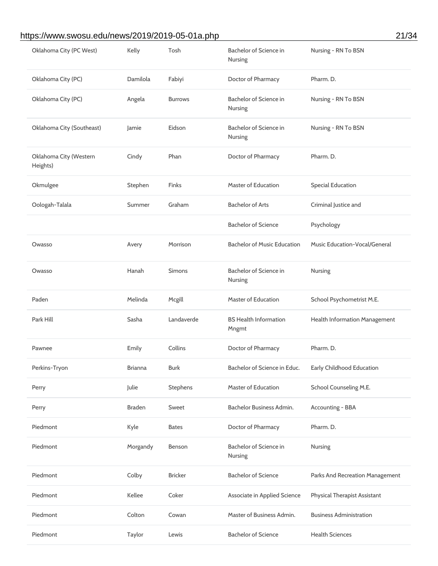# https://www.swosu.edu/news/2019/2019-05-01a.php 21/34

| Oklahoma City (PC West)            | Kelly          | Tosh           | Bachelor of Science in<br>Nursing     | Nursing - RN To BSN                  |
|------------------------------------|----------------|----------------|---------------------------------------|--------------------------------------|
| Oklahoma City (PC)                 | Damilola       | Fabiyi         | Doctor of Pharmacy                    | Pharm. D.                            |
| Oklahoma City (PC)                 | Angela         | <b>Burrows</b> | Bachelor of Science in<br>Nursing     | Nursing - RN To BSN                  |
| Oklahoma City (Southeast)          | Jamie          | Eidson         | Bachelor of Science in<br>Nursing     | Nursing - RN To BSN                  |
| Oklahoma City (Western<br>Heights) | Cindy          | Phan           | Doctor of Pharmacy                    | Pharm. D.                            |
| Okmulgee                           | Stephen        | Finks          | Master of Education                   | <b>Special Education</b>             |
| Oologah-Talala                     | Summer         | Graham         | <b>Bachelor of Arts</b>               | Criminal Justice and                 |
|                                    |                |                | <b>Bachelor of Science</b>            | Psychology                           |
| Owasso                             | Avery          | Morrison       | <b>Bachelor of Music Education</b>    | <b>Music Education-Vocal/General</b> |
| Owasso                             | Hanah          | <b>Simons</b>  | Bachelor of Science in<br>Nursing     | Nursing                              |
|                                    |                |                |                                       |                                      |
| Paden                              | Melinda        | Mcgill         | <b>Master of Education</b>            | School Psychometrist M.E.            |
| Park Hill                          | Sasha          | Landaverde     | <b>BS Health Information</b><br>Mngmt | Health Information Management        |
| Pawnee                             | Emily          | Collins        | Doctor of Pharmacy                    | Pharm. D.                            |
| Perkins-Tryon                      | <b>Brianna</b> | <b>Burk</b>    | Bachelor of Science in Educ.          | Early Childhood Education            |
| Perry                              | Julie          | Stephens       | <b>Master of Education</b>            | School Counseling M.E.               |
| Perry                              | <b>Braden</b>  | Sweet          | Bachelor Business Admin.              | Accounting - BBA                     |
| Piedmont                           | Kyle           | <b>Bates</b>   | Doctor of Pharmacy                    | Pharm. D.                            |
| Piedmont                           | Morgandy       | Benson         | Bachelor of Science in<br>Nursing     | Nursing                              |
| Piedmont                           | Colby          | <b>Bricker</b> | <b>Bachelor of Science</b>            | Parks And Recreation Management      |
| Piedmont                           | Kellee         | Coker          | <b>Associate in Applied Science</b>   | <b>Physical Therapist Assistant</b>  |
| Piedmont                           | Colton         | Cowan          | Master of Business Admin.             | <b>Business Administration</b>       |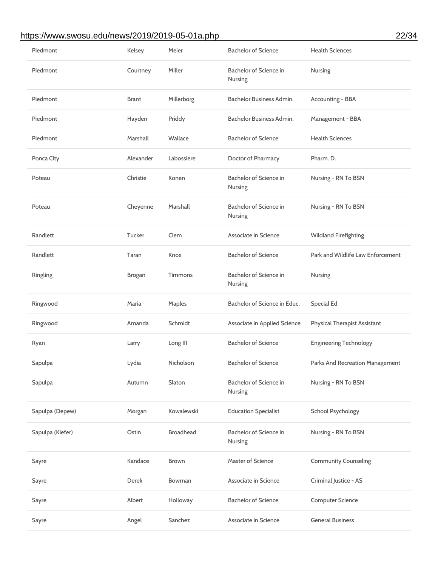# https://www.swosu.edu/news/2019/2019-05-01a.php 22/34

| Piedmont         | Kelsey        | Meier            | <b>Bachelor of Science</b>               | <b>Health Sciences</b>              |
|------------------|---------------|------------------|------------------------------------------|-------------------------------------|
| Piedmont         | Courtney      | Miller           | Bachelor of Science in<br>Nursing        | Nursing                             |
| Piedmont         | <b>Brant</b>  | Millerborg       | Bachelor Business Admin.                 | Accounting - BBA                    |
| Piedmont         | Hayden        | Priddy           | Bachelor Business Admin.                 | Management - BBA                    |
| Piedmont         | Marshall      | Wallace          | <b>Bachelor of Science</b>               | <b>Health Sciences</b>              |
| Ponca City       | Alexander     | Labossiere       | Doctor of Pharmacy                       | Pharm. D.                           |
| Poteau           | Christie      | Konen            | Bachelor of Science in<br>Nursing        | Nursing - RN To BSN                 |
| Poteau           | Cheyenne      | Marshall         | Bachelor of Science in<br><b>Nursing</b> | Nursing - RN To BSN                 |
| Randlett         | Tucker        | Clem             | Associate in Science                     | <b>Wildland Firefighting</b>        |
| Randlett         | Taran         | Knox             | <b>Bachelor of Science</b>               | Park and Wildlife Law Enforcement   |
| Ringling         | <b>Brogan</b> | Timmons          | Bachelor of Science in<br>Nursing        | Nursing                             |
| Ringwood         | Maria         | Maples           | Bachelor of Science in Educ.             | <b>Special Ed</b>                   |
| Ringwood         | Amanda        | Schmidt          | <b>Associate in Applied Science</b>      | <b>Physical Therapist Assistant</b> |
|                  |               |                  |                                          |                                     |
| Ryan             | Larry         | Long III         | <b>Bachelor of Science</b>               | <b>Engineering Technology</b>       |
| Sapulpa          | Lydia         | Nicholson        | <b>Bachelor of Science</b>               | Parks And Recreation Management     |
| Sapulpa          | Autumn        | Slaton           | Bachelor of Science in<br>Nursing        | Nursing - RN To BSN                 |
| Sapulpa (Depew)  | Morgan        | Kowalewski       | <b>Education Specialist</b>              | <b>School Psychology</b>            |
| Sapulpa (Kiefer) | Ostin         | <b>Broadhead</b> | Bachelor of Science in<br>Nursing        | Nursing - RN To BSN                 |
| Sayre            | Kandace       | <b>Brown</b>     | <b>Master of Science</b>                 | <b>Community Counseling</b>         |
| Sayre            | Derek         | Bowman           | Associate in Science                     | Criminal Justice - AS               |
| Sayre            | Albert        | Holloway         | <b>Bachelor of Science</b>               | <b>Computer Science</b>             |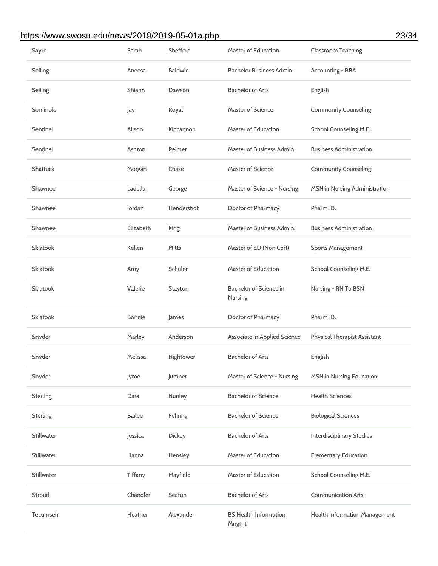# https://www.swosu.edu/news/2019/2019-05-01a.php 23/34

| Sayre             | Sarah         | Shefferd       | <b>Master of Education</b>            | <b>Classroom Teaching</b>           |
|-------------------|---------------|----------------|---------------------------------------|-------------------------------------|
| Seiling           | Aneesa        | <b>Baldwin</b> | Bachelor Business Admin.              | Accounting - BBA                    |
| Seiling           | Shiann        | Dawson         | <b>Bachelor of Arts</b>               | English                             |
| Seminole          | Jay           | Royal          | <b>Master of Science</b>              | <b>Community Counseling</b>         |
| Sentinel          | Alison        | Kincannon      | <b>Master of Education</b>            | School Counseling M.E.              |
| Sentinel          | Ashton        | Reimer         | Master of Business Admin.             | <b>Business Administration</b>      |
| <b>Shattuck</b>   | Morgan        | Chase          | <b>Master of Science</b>              | <b>Community Counseling</b>         |
| Shawnee           | Ladella       | George         | Master of Science - Nursing           | MSN in Nursing Administration       |
| Shawnee           | Jordan        | Hendershot     | Doctor of Pharmacy                    | Pharm. D.                           |
| Shawnee           | Elizabeth     | King           | Master of Business Admin.             | <b>Business Administration</b>      |
| <b>Skiatook</b>   | Kellen        | <b>Mitts</b>   | Master of ED (Non Cert)               | <b>Sports Management</b>            |
| Skiatook          | Amy           | Schuler        | <b>Master of Education</b>            | School Counseling M.E.              |
| <b>Skiatook</b>   | Valerie       | Stayton        | Bachelor of Science in<br>Nursing     | Nursing - RN To BSN                 |
| Skiatook          | <b>Bonnie</b> | James          | Doctor of Pharmacy                    | Pharm. D.                           |
| Snyder            | Marley        | Anderson       | <b>Associate in Applied Science</b>   | <b>Physical Therapist Assistant</b> |
| Snyder            | Melissa       | Hightower      | <b>Bachelor of Arts</b>               | English                             |
| Snyder            | Jyme          | Jumper         | Master of Science - Nursing           | <b>MSN</b> in Nursing Education     |
| <b>Sterling</b>   | Dara          | Nunley         | <b>Bachelor of Science</b>            | <b>Health Sciences</b>              |
| <b>Sterling</b>   | <b>Bailee</b> | Fehring        | <b>Bachelor of Science</b>            | <b>Biological Sciences</b>          |
| <b>Stillwater</b> | Jessica       | Dickey         | <b>Bachelor of Arts</b>               | <b>Interdisciplinary Studies</b>    |
| <b>Stillwater</b> | Hanna         | Hensley        | <b>Master of Education</b>            | <b>Elementary Education</b>         |
| <b>Stillwater</b> | Tiffany       | Mayfield       | <b>Master of Education</b>            | School Counseling M.E.              |
| Stroud            | Chandler      | Seaton         | <b>Bachelor of Arts</b>               | <b>Communication Arts</b>           |
| Tecumseh          | Heather       | Alexander      | <b>BS Health Information</b><br>Mngmt | Health Information Management       |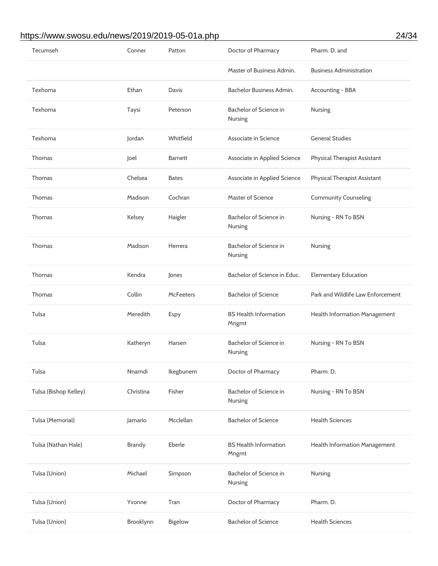## https://www.swosu.edu/news/2019/2019-05-01a.php 24/34

| Tecumseh              | Conner        | Patton           | Doctor of Pharmacy                    | Pharm. D. and                       |
|-----------------------|---------------|------------------|---------------------------------------|-------------------------------------|
|                       |               |                  | Master of Business Admin.             | <b>Business Administration</b>      |
| Texhoma               | Ethan         | Davis            | Bachelor Business Admin.              | <b>Accounting - BBA</b>             |
| Texhoma               | Taysi         | Peterson         | Bachelor of Science in<br>Nursing     | Nursing                             |
| Texhoma               | Jordan        | Whitfield        | Associate in Science                  | <b>General Studies</b>              |
| <b>Thomas</b>         | Joel          | <b>Barnett</b>   | Associate in Applied Science          | <b>Physical Therapist Assistant</b> |
| <b>Thomas</b>         | Chelsea       | <b>Bates</b>     | Associate in Applied Science          | <b>Physical Therapist Assistant</b> |
| <b>Thomas</b>         | Madison       | Cochran          | <b>Master of Science</b>              | <b>Community Counseling</b>         |
| Thomas                | Kelsey        | Haigler          | Bachelor of Science in<br>Nursing     | Nursing - RN To BSN                 |
| <b>Thomas</b>         | Madison       | Herrera          | Bachelor of Science in<br>Nursing     | Nursing                             |
| <b>Thomas</b>         | Kendra        | Jones            | Bachelor of Science in Educ.          | <b>Elementary Education</b>         |
|                       |               |                  |                                       |                                     |
| <b>Thomas</b>         | Collin        | <b>McFeeters</b> | <b>Bachelor of Science</b>            | Park and Wildlife Law Enforcement   |
| Tulsa                 | Meredith      | Espy             | <b>BS Health Information</b><br>Mngmt | Health Information Management       |
| Tulsa                 | Katheryn      | Harsen           | Bachelor of Science in<br>Nursing     | Nursing - RN To BSN                 |
| Tulsa                 | Nnamdi        | Ikegbunem        | Doctor of Pharmacy                    | Pharm. D.                           |
| Tulsa (Bishop Kelley) | Christina     | Fisher           | Bachelor of Science in<br>Nursing     | Nursing - RN To BSN                 |
| Tulsa (Memorial)      | Jamario       | Mcclellan        | <b>Bachelor of Science</b>            | <b>Health Sciences</b>              |
| Tulsa (Nathan Hale)   | <b>Brandy</b> | Eberle           | <b>BS Health Information</b><br>Mngmt | Health Information Management       |
| Tulsa (Union)         | Michael       | Simpson          | Bachelor of Science in<br>Nursing     | Nursing                             |
| Tulsa (Union)         | Yvonne        | Tran             | Doctor of Pharmacy                    | Pharm. D.                           |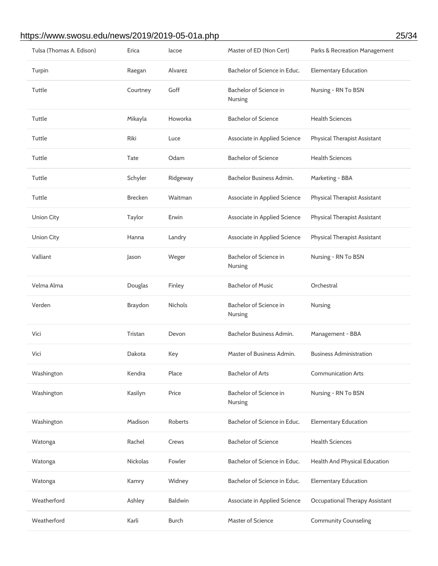#### https://www.swosu.edu/news/2019/2019-05-01a.php 25/34

| Tulsa (Thomas A. Edison) | Erica           | lacoe          | Master of ED (Non Cert)           | Parks & Recreation Management       |
|--------------------------|-----------------|----------------|-----------------------------------|-------------------------------------|
| Turpin                   | Raegan          | Alvarez        | Bachelor of Science in Educ.      | <b>Elementary Education</b>         |
| Tuttle                   | Courtney        | Goff           | Bachelor of Science in<br>Nursing | Nursing - RN To BSN                 |
| Tuttle                   | Mikayla         | Howorka        | <b>Bachelor of Science</b>        | <b>Health Sciences</b>              |
| Tuttle                   | Riki            | Luce           | Associate in Applied Science      | <b>Physical Therapist Assistant</b> |
| Tuttle                   | Tate            | Odam           | <b>Bachelor of Science</b>        | <b>Health Sciences</b>              |
| Tuttle                   | Schyler         | Ridgeway       | Bachelor Business Admin.          | Marketing - BBA                     |
| Tuttle                   | <b>Brecken</b>  | Waitman        | Associate in Applied Science      | <b>Physical Therapist Assistant</b> |
| <b>Union City</b>        | Taylor          | Erwin          | Associate in Applied Science      | <b>Physical Therapist Assistant</b> |
| <b>Union City</b>        | Hanna           | Landry         | Associate in Applied Science      | Physical Therapist Assistant        |
| Valliant                 | Jason           | Weger          | Bachelor of Science in<br>Nursing | Nursing - RN To BSN                 |
| Velma Alma               | Douglas         | Finley         | <b>Bachelor of Music</b>          | Orchestral                          |
| Verden                   | <b>Braydon</b>  | Nichols        | Bachelor of Science in<br>Nursing | Nursing                             |
| Vici                     | Tristan         | Devon          | Bachelor Business Admin.          | Management - BBA                    |
| Vici                     | Dakota          | Key            | Master of Business Admin.         | <b>Business Administration</b>      |
| Washington               | Kendra          | Place          | <b>Bachelor of Arts</b>           | <b>Communication Arts</b>           |
| Washington               | Kasilyn         | Price          | Bachelor of Science in<br>Nursing | Nursing - RN To BSN                 |
| Washington               | Madison         | Roberts        | Bachelor of Science in Educ.      | <b>Elementary Education</b>         |
| Watonga                  | Rachel          | Crews          | <b>Bachelor of Science</b>        | <b>Health Sciences</b>              |
| Watonga                  | <b>Nickolas</b> | Fowler         | Bachelor of Science in Educ.      | Health And Physical Education       |
| Watonga                  | Kamry           | Widney         | Bachelor of Science in Educ.      | <b>Elementary Education</b>         |
| Weatherford              | Ashley          | <b>Baldwin</b> | Associate in Applied Science      | Occupational Therapy Assistant      |
| Weatherford              | Karli           | <b>Burch</b>   | Master of Science                 | <b>Community Counseling</b>         |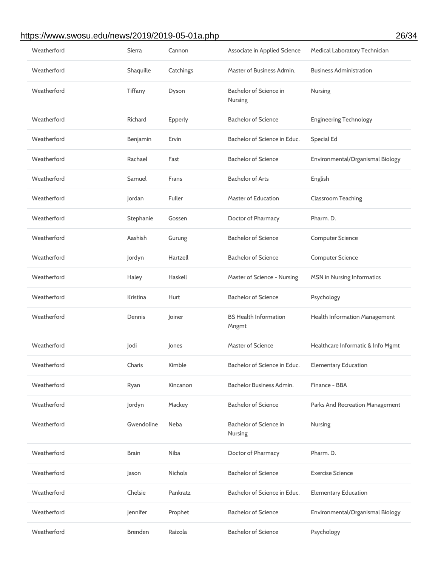#### https://www.swosu.edu/news/2019/2019-05-01a.php 26/34

| Weatherford | Sierra         | Cannon    | Associate in Applied Science          | Medical Laboratory Technician     |
|-------------|----------------|-----------|---------------------------------------|-----------------------------------|
| Weatherford | Shaquille      | Catchings | Master of Business Admin.             | <b>Business Administration</b>    |
| Weatherford | Tiffany        | Dyson     | Bachelor of Science in<br>Nursing     | Nursing                           |
| Weatherford | Richard        | Epperly   | <b>Bachelor of Science</b>            | <b>Engineering Technology</b>     |
| Weatherford | Benjamin       | Ervin     | Bachelor of Science in Educ.          | <b>Special Ed</b>                 |
| Weatherford | Rachael        | Fast      | <b>Bachelor of Science</b>            | Environmental/Organismal Biology  |
| Weatherford | Samuel         | Frans     | <b>Bachelor of Arts</b>               | English                           |
| Weatherford | Jordan         | Fuller    | Master of Education                   | <b>Classroom Teaching</b>         |
| Weatherford | Stephanie      | Gossen    | Doctor of Pharmacy                    | Pharm. D.                         |
| Weatherford | Aashish        | Gurung    | <b>Bachelor of Science</b>            | <b>Computer Science</b>           |
| Weatherford | Jordyn         | Hartzell  | <b>Bachelor of Science</b>            | <b>Computer Science</b>           |
| Weatherford | Haley          | Haskell   | Master of Science - Nursing           | <b>MSN</b> in Nursing Informatics |
| Weatherford | Kristina       | Hurt      | <b>Bachelor of Science</b>            | Psychology                        |
| Weatherford | Dennis         | Joiner    | <b>BS Health Information</b><br>Mngmt | Health Information Management     |
| Weatherford | Jodi           | Jones     | <b>Master of Science</b>              | Healthcare Informatic & Info Mgmt |
| Weatherford | Charis         | Kimble    | Bachelor of Science in Educ.          | <b>Elementary Education</b>       |
| Weatherford | Ryan           | Kincanon  | Bachelor Business Admin.              | Finance - BBA                     |
| Weatherford | Jordyn         | Mackey    | <b>Bachelor of Science</b>            | Parks And Recreation Management   |
| Weatherford | Gwendoline     | Neba      | Bachelor of Science in<br>Nursing     | Nursing                           |
| Weatherford | <b>Brain</b>   | Niba      | Doctor of Pharmacy                    | Pharm. D.                         |
| Weatherford | Jason          | Nichols   | <b>Bachelor of Science</b>            | <b>Exercise Science</b>           |
| Weatherford | Chelsie        | Pankratz  | Bachelor of Science in Educ.          | <b>Elementary Education</b>       |
| Weatherford | Jennifer       | Prophet   | <b>Bachelor of Science</b>            | Environmental/Organismal Biology  |
| Weatherford | <b>Brenden</b> | Raizola   | <b>Bachelor of Science</b>            | Psychology                        |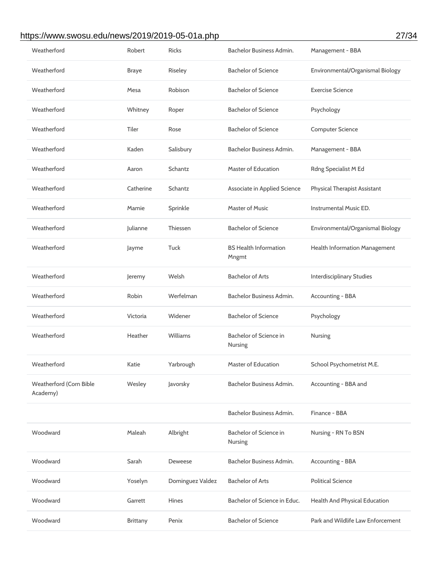# https://www.swosu.edu/news/2019/2019-05-01a.php 27/34

| Weatherford                         | Robert       | <b>Ricks</b>     | Bachelor Business Admin.              | Management - BBA                    |
|-------------------------------------|--------------|------------------|---------------------------------------|-------------------------------------|
| Weatherford                         | <b>Braye</b> | Riseley          | <b>Bachelor of Science</b>            | Environmental/Organismal Biology    |
| Weatherford                         | Mesa         | Robison          | <b>Bachelor of Science</b>            | <b>Exercise Science</b>             |
| Weatherford                         | Whitney      | Roper            | <b>Bachelor of Science</b>            | Psychology                          |
| Weatherford                         | Tiler        | Rose             | <b>Bachelor of Science</b>            | <b>Computer Science</b>             |
| Weatherford                         | Kaden        | Salisbury        | Bachelor Business Admin.              | Management - BBA                    |
| Weatherford                         | Aaron        | Schantz          | <b>Master of Education</b>            | Rdng Specialist M Ed                |
| Weatherford                         | Catherine    | Schantz          | <b>Associate in Applied Science</b>   | <b>Physical Therapist Assistant</b> |
| Weatherford                         | Mamie        | Sprinkle         | <b>Master of Music</b>                | Instrumental Music ED.              |
| Weatherford                         | Julianne     | Thiessen         | <b>Bachelor of Science</b>            | Environmental/Organismal Biology    |
| Weatherford                         | Jayme        | Tuck             | <b>BS Health Information</b><br>Mngmt | Health Information Management       |
| Weatherford                         | Jeremy       | Welsh            | <b>Bachelor of Arts</b>               | <b>Interdisciplinary Studies</b>    |
| Weatherford                         | Robin        | Werfelman        | Bachelor Business Admin.              | <b>Accounting - BBA</b>             |
| Weatherford                         | Victoria     | Widener          | <b>Bachelor of Science</b>            | Psychology                          |
|                                     |              |                  |                                       |                                     |
| Weatherford                         | Heather      | Williams         | Bachelor of Science in<br>Nursing     | Nursing                             |
| Weatherford                         | Katie        | Yarbrough        | Master of Education                   | School Psychometrist M.E.           |
| Weatherford (Corn Bible<br>Academy) | Wesley       | Javorsky         | <b>Bachelor Business Admin.</b>       | Accounting - BBA and                |
|                                     |              |                  | Bachelor Business Admin.              | Finance - BBA                       |
| Woodward                            | Maleah       | Albright         | Bachelor of Science in<br>Nursing     | Nursing - RN To BSN                 |
| Woodward                            | Sarah        | Deweese          | Bachelor Business Admin.              | Accounting - BBA                    |
| Woodward                            | Yoselyn      | Dominguez Valdez | <b>Bachelor of Arts</b>               | <b>Political Science</b>            |
| Woodward                            | Garrett      | Hines            | Bachelor of Science in Educ.          | Health And Physical Education       |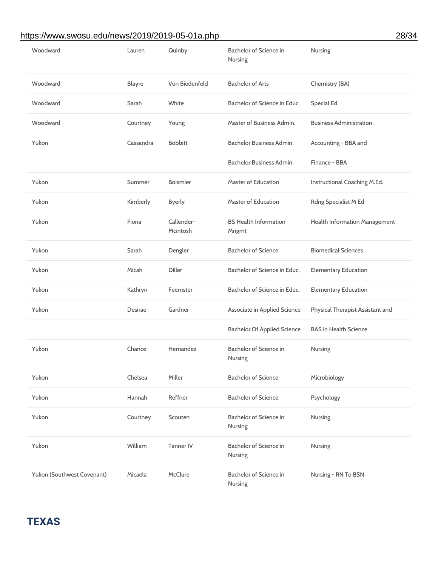#### https://www.swosu.edu/news/2019/2019-05-01a.php 28/34

| Woodward                   | Lauren         | Quinby                 | Bachelor of Science in<br>Nursing     | Nursing                          |
|----------------------------|----------------|------------------------|---------------------------------------|----------------------------------|
| Woodward                   | <b>Blayre</b>  | Von Biedenfeld         | <b>Bachelor of Arts</b>               | Chemistry (BA)                   |
| Woodward                   | Sarah          | White                  | Bachelor of Science in Educ.          | Special Ed                       |
| Woodward                   | Courtney       | Young                  | Master of Business Admin.             | <b>Business Administration</b>   |
| Yukon                      | Cassandra      | <b>Bobbitt</b>         | Bachelor Business Admin.              | Accounting - BBA and             |
|                            |                |                        | Bachelor Business Admin.              | Finance - BBA                    |
| Yukon                      | Summer         | <b>Boismier</b>        | <b>Master of Education</b>            | Instructional Coaching M.Ed.     |
| Yukon                      | Kimberly       | <b>Byerly</b>          | <b>Master of Education</b>            | Rdng Specialist M Ed             |
| Yukon                      | Fiona          | Callender-<br>Mcintosh | <b>BS Health Information</b><br>Mngmt | Health Information Management    |
| Yukon                      | Sarah          | Dengler                | <b>Bachelor of Science</b>            | <b>Biomedical Sciences</b>       |
| Yukon                      | Micah          | <b>Diller</b>          | Bachelor of Science in Educ.          | <b>Elementary Education</b>      |
| Yukon                      | Kathryn        | Feemster               | Bachelor of Science in Educ.          | <b>Elementary Education</b>      |
| Yukon                      | <b>Desirae</b> | Gardner                | Associate in Applied Science          | Physical Therapist Assistant and |
|                            |                |                        | <b>Bachelor Of Applied Science</b>    | <b>BAS in Health Science</b>     |
| Yukon                      | Chance         | Hernandez              | Bachelor of Science in<br>Nursing     | <b>Nursing</b>                   |
| Yukon                      | Chelsea        | Miller                 | <b>Bachelor of Science</b>            | Microbiology                     |
| Yukon                      | Hannah         | Reffner                | <b>Bachelor of Science</b>            | Psychology                       |
| Yukon                      | Courtney       | Scouten                | Bachelor of Science in<br>Nursing     | Nursing                          |
| Yukon                      | William        | <b>Tanner IV</b>       | Bachelor of Science in<br>Nursing     | Nursing                          |
| Yukon (Southwest Covenant) | Micaela        | McClure                | Bachelor of Science in<br>Nursing     | Nursing - RN To BSN              |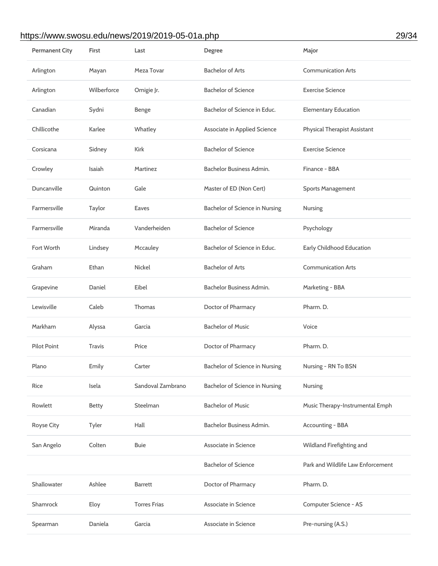#### https://www.swosu.edu/news/2019/2019-05-01a.php 29/34

| <b>Permanent City</b> | First         | Last                | Degree                                | Major                               |
|-----------------------|---------------|---------------------|---------------------------------------|-------------------------------------|
| Arlington             | Mayan         | Meza Tovar          | <b>Bachelor of Arts</b>               | <b>Communication Arts</b>           |
| Arlington             | Wilberforce   | Omigie Jr.          | <b>Bachelor of Science</b>            | <b>Exercise Science</b>             |
| Canadian              | Sydni         | Benge               | Bachelor of Science in Educ.          | <b>Elementary Education</b>         |
| Chillicothe           | Karlee        | Whatley             | <b>Associate in Applied Science</b>   | <b>Physical Therapist Assistant</b> |
| Corsicana             | Sidney        | Kirk                | <b>Bachelor of Science</b>            | <b>Exercise Science</b>             |
| Crowley               | Isaiah        | Martinez            | Bachelor Business Admin.              | Finance - BBA                       |
| Duncanville           | Quinton       | Gale                | Master of ED (Non Cert)               | <b>Sports Management</b>            |
| Farmersville          | Taylor        | Eaves               | Bachelor of Science in Nursing        | <b>Nursing</b>                      |
| Farmersville          | Miranda       | Vanderheiden        | <b>Bachelor of Science</b>            | Psychology                          |
| Fort Worth            | Lindsey       | Mccauley            | Bachelor of Science in Educ.          | <b>Early Childhood Education</b>    |
| Graham                | Ethan         | <b>Nickel</b>       | <b>Bachelor of Arts</b>               | <b>Communication Arts</b>           |
| Grapevine             | Daniel        | Eibel               | Bachelor Business Admin.              | Marketing - BBA                     |
| Lewisville            | Caleb         | Thomas              | Doctor of Pharmacy                    | Pharm. D.                           |
| Markham               | Alyssa        | Garcia              | <b>Bachelor of Music</b>              | Voice                               |
| <b>Pilot Point</b>    | <b>Travis</b> | Price               | Doctor of Pharmacy                    | Pharm. D.                           |
| Plano                 | Emily         | Carter              | <b>Bachelor of Science in Nursing</b> | Nursing - RN To BSN                 |
| Rice                  | Isela         | Sandoval Zambrano   | Bachelor of Science in Nursing        | Nursing                             |
| Rowlett               | <b>Betty</b>  | Steelman            | <b>Bachelor of Music</b>              | Music Therapy-Instrumental Emph     |
| Royse City            | Tyler         | Hall                | Bachelor Business Admin.              | Accounting - BBA                    |
| San Angelo            | Colten        | <b>Buie</b>         | Associate in Science                  | Wildland Firefighting and           |
|                       |               |                     | <b>Bachelor of Science</b>            | Park and Wildlife Law Enforcement   |
| Shallowater           | Ashlee        | <b>Barrett</b>      | Doctor of Pharmacy                    | Pharm. D.                           |
| Shamrock              | Eloy          | <b>Torres Frias</b> | Associate in Science                  | Computer Science - AS               |
| Spearman              | Daniela       | Garcia              | Associate in Science                  | Pre-nursing (A.S.)                  |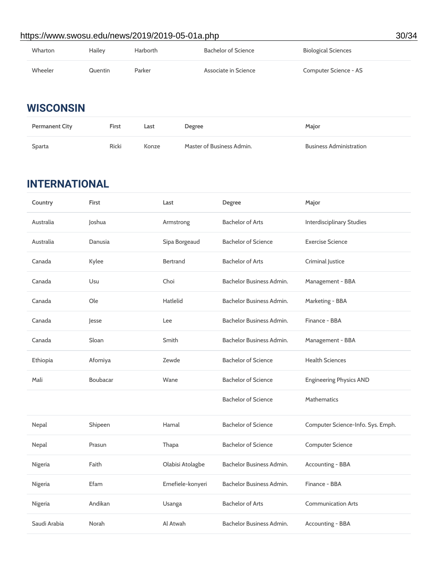# Wharton Hailey Harborth Bachelor of Science Biological Sciences Wheeler **Cause Calculation** Parker **Associate in Science Computer Science - AS** https://www.swosu.edu/news/2019/2019-05-01a.php 30/34

## **WISCONSIN**

| <b>Permanent City</b> | First | Last  | Degree                    | Major                          |
|-----------------------|-------|-------|---------------------------|--------------------------------|
| Sparta                | Ricki | Konze | Master of Business Admin. | <b>Business Administration</b> |

## **INTERNATIONAL**

| Country      | First    | Last             | Degree                     | Major                             |
|--------------|----------|------------------|----------------------------|-----------------------------------|
| Australia    | Joshua   | Armstrong        | <b>Bachelor of Arts</b>    | <b>Interdisciplinary Studies</b>  |
| Australia    | Danusia  | Sipa Borgeaud    | <b>Bachelor of Science</b> | <b>Exercise Science</b>           |
| Canada       | Kylee    | <b>Bertrand</b>  | <b>Bachelor of Arts</b>    | Criminal Justice                  |
| Canada       | Usu      | Choi             | Bachelor Business Admin.   | Management - BBA                  |
| Canada       | Ole      | <b>Hatlelid</b>  | Bachelor Business Admin.   | Marketing - BBA                   |
| Canada       | Jesse    | Lee              | Bachelor Business Admin.   | Finance - BBA                     |
| Canada       | Sloan    | Smith            | Bachelor Business Admin.   | Management - BBA                  |
| Ethiopia     | Afomiya  | Zewde            | <b>Bachelor of Science</b> | <b>Health Sciences</b>            |
| Mali         | Boubacar | Wane             | <b>Bachelor of Science</b> | <b>Engineering Physics AND</b>    |
|              |          |                  | <b>Bachelor of Science</b> | <b>Mathematics</b>                |
| Nepal        | Shipeen  | Hamal            | <b>Bachelor of Science</b> | Computer Science-Info. Sys. Emph. |
| Nepal        | Prasun   | Thapa            | <b>Bachelor of Science</b> | <b>Computer Science</b>           |
| Nigeria      | Faith    | Olabisi Atolagbe | Bachelor Business Admin.   | <b>Accounting - BBA</b>           |
| Nigeria      | Efam     | Emefiele-konyeri | Bachelor Business Admin.   | Finance - BBA                     |
| Nigeria      | Andikan  | Usanga           | <b>Bachelor of Arts</b>    | <b>Communication Arts</b>         |
| Saudi Arabia | Norah    | Al Atwah         | Bachelor Business Admin.   | Accounting - BBA                  |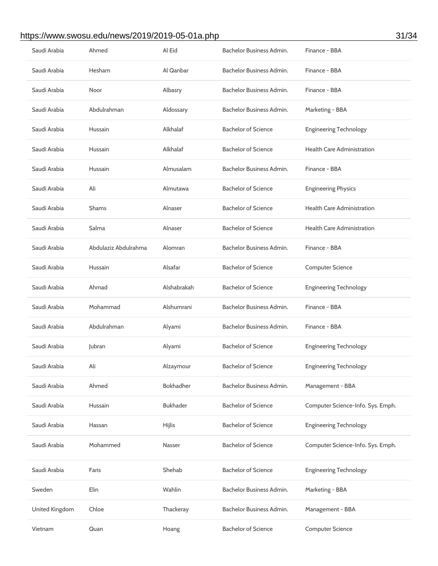# https://www.swosu.edu/news/2019/2019-05-01a.php 31/34

| Saudi Arabia   | Ahmed                | Al Eid           | Bachelor Business Admin.   | Finance - BBA                     |
|----------------|----------------------|------------------|----------------------------|-----------------------------------|
| Saudi Arabia   | Hesham               | Al Qanbar        | Bachelor Business Admin.   | Finance - BBA                     |
| Saudi Arabia   | Noor                 | Albasry          | Bachelor Business Admin.   | Finance - BBA                     |
| Saudi Arabia   | Abdulrahman          | Aldossary        | Bachelor Business Admin.   | Marketing - BBA                   |
| Saudi Arabia   | Hussain              | Alkhalaf         | <b>Bachelor of Science</b> | <b>Engineering Technology</b>     |
| Saudi Arabia   | Hussain              | Alkhalaf         | <b>Bachelor of Science</b> | <b>Health Care Administration</b> |
| Saudi Arabia   | Hussain              | Almusalam        | Bachelor Business Admin.   | Finance - BBA                     |
| Saudi Arabia   | Ali                  | Almutawa         | <b>Bachelor of Science</b> | <b>Engineering Physics</b>        |
| Saudi Arabia   | <b>Shams</b>         | Alnaser          | <b>Bachelor of Science</b> | <b>Health Care Administration</b> |
| Saudi Arabia   | Salma                | Alnaser          | <b>Bachelor of Science</b> | <b>Health Care Administration</b> |
| Saudi Arabia   | Abdulaziz Abdulrahma | Alomran          | Bachelor Business Admin.   | Finance - BBA                     |
| Saudi Arabia   | Hussain              | Alsafar          | <b>Bachelor of Science</b> | <b>Computer Science</b>           |
| Saudi Arabia   | Ahmad                | Alshabrakah      | <b>Bachelor of Science</b> | <b>Engineering Technology</b>     |
| Saudi Arabia   | Mohammad             | Alshumrani       | Bachelor Business Admin.   | Finance - BBA                     |
| Saudi Arabia   | Abdulrahman          | Alyami           | Bachelor Business Admin.   | Finance - BBA                     |
| Saudi Arabia   | Jubran               | Alyami           | <b>Bachelor of Science</b> | <b>Engineering Technology</b>     |
| Saudi Arabia   | Ali                  | Alzaymour        | <b>Bachelor of Science</b> | <b>Engineering Technology</b>     |
| Saudi Arabia   | Ahmed                | <b>Bokhadher</b> | Bachelor Business Admin.   | Management - BBA                  |
| Saudi Arabia   | Hussain              | <b>Bukhader</b>  | <b>Bachelor of Science</b> | Computer Science-Info. Sys. Emph. |
| Saudi Arabia   | Hassan               | <b>Hijlis</b>    | <b>Bachelor of Science</b> | <b>Engineering Technology</b>     |
| Saudi Arabia   | Mohammed             | Nasser           | <b>Bachelor of Science</b> | Computer Science-Info. Sys. Emph. |
| Saudi Arabia   | Faris                | Shehab           | <b>Bachelor of Science</b> | <b>Engineering Technology</b>     |
| Sweden         | Elin                 | Wahlin           | Bachelor Business Admin.   | Marketing - BBA                   |
| United Kingdom | Chloe                | Thackeray        | Bachelor Business Admin.   | Management - BBA                  |
| Vietnam        | Quan                 | Hoang            | <b>Bachelor of Science</b> | <b>Computer Science</b>           |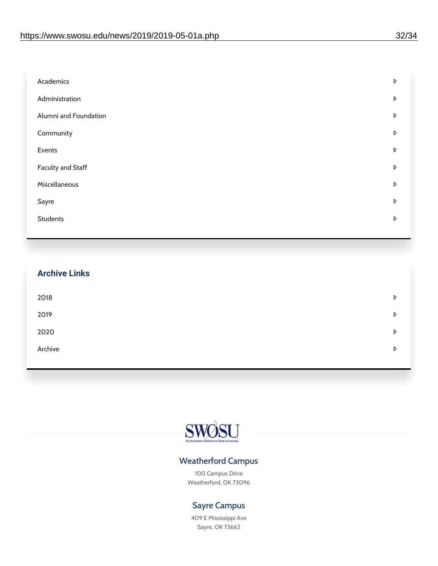| Academics                | D |
|--------------------------|---|
| Administration           | D |
| Alumni and Foundation    | D |
| Community                | D |
| Events                   | D |
| <b>Faculty and Staff</b> | D |
| Miscellaneous            | D |
| Sayre                    | D |
| <b>Students</b>          | D |
|                          |   |

| <b>Archive Links</b> |   |
|----------------------|---|
| 2018                 | D |
| 2019                 | D |
| 2020                 | D |
| Archive              | D |



#### Weatherford Campus

100 Campus Drive Weatherford, OK 73096

#### Sayre Campus

409 E Mississippi Ave Sayre, OK 73662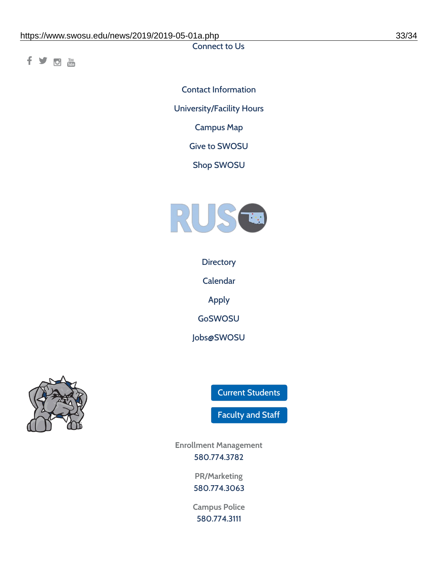Connect to Us

f y o m

Contact [Information](https://www.swosu.edu/about/contact.php) [University/Facility](https://www.swosu.edu/about/operating-hours.php) Hours [Campus](https://map.concept3d.com/?id=768#!ct/10964,10214,10213,10212,10205,10204,10203,10202,10136,10129,10128,0,31226,10130,10201,10641,0) Map Give to [SWOSU](https://standingfirmly.com/donate) Shop [SWOSU](https://shopswosu.merchorders.com/)



**[Directory](https://www.swosu.edu/directory/index.php)** 

[Calendar](https://eventpublisher.dudesolutions.com/swosu/)

[Apply](https://www.swosu.edu/admissions/apply-to-swosu.php)

[GoSWOSU](https://qlsso.quicklaunchsso.com/home/1267)

[Jobs@SWOSU](https://swosu.csod.com/ux/ats/careersite/1/home?c=swosu)



Current [Students](https://bulldog.swosu.edu/index.php)

[Faculty](https://bulldog.swosu.edu/faculty-staff/index.php) and Staff

**Enrollment Management** [580.774.3782](tel:5807743782)

> **PR/Marketing** [580.774.3063](tel:5807743063)

**Campus Police** [580.774.3111](tel:5807743111)